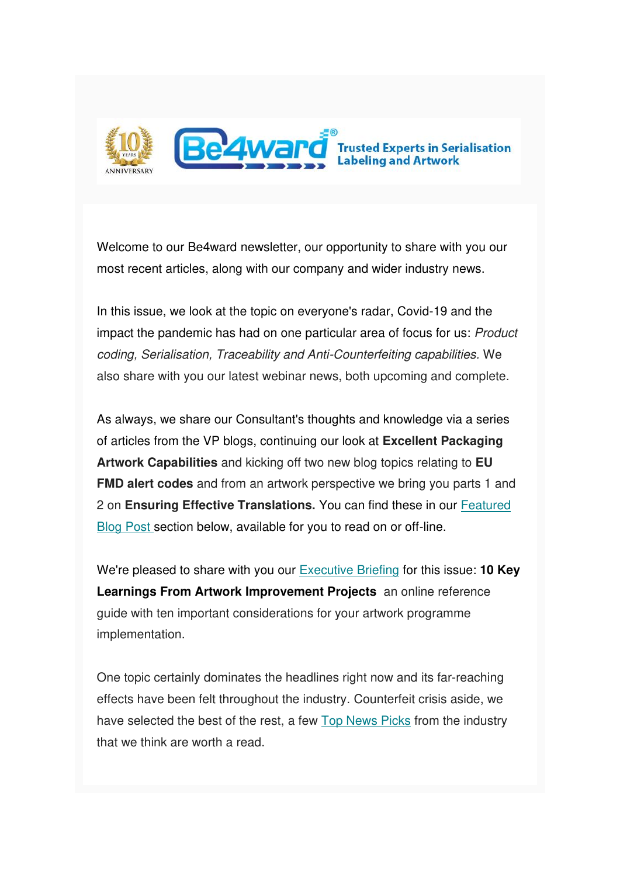

Welcome to our Be4ward newsletter, our opportunity to share with you our most recent articles, along with our company and wider industry news.

In this issue, we look at the topic on everyone's radar, Covid-19 and the impact the pandemic has had on one particular area of focus for us: Product coding, Serialisation, Traceability and Anti-Counterfeiting capabilities. We also share with you our latest webinar news, both upcoming and complete.

As always, we share our Consultant's thoughts and knowledge via a series of articles from the VP blogs, continuing our look at **Excellent Packaging Artwork Capabilities** and kicking off two new blog topics relating to **EU FMD alert codes** and from an artwork perspective we bring you parts 1 and 2 on **Ensuring Effective Translations.** You can find these in our [Featured](https://us5.admin.mailchimp.com/campaigns/preview-content-html?id=1383648#Blogs by Stephen)  [Blog Post s](https://us5.admin.mailchimp.com/campaigns/preview-content-html?id=1383648#Blogs by Stephen)ection below, available for you to read on or off-line.

We're pleased to share with you our [Executive Briefing](https://us5.admin.mailchimp.com/campaigns/preview-content-html?id=1383648#Executive Briefing 2) for this issue: **10 Key Learnings From Artwork Improvement Projects** an online reference guide with ten important considerations for your artwork programme implementation.

One topic certainly dominates the headlines right now and its far-reaching effects have been felt throughout the industry. Counterfeit crisis aside, we have selected the best of the rest, a few [Top News Picks](https://us5.admin.mailchimp.com/campaigns/preview-content-html?id=1383648#TOPNEWSPICKS) from the industry that we think are worth a read.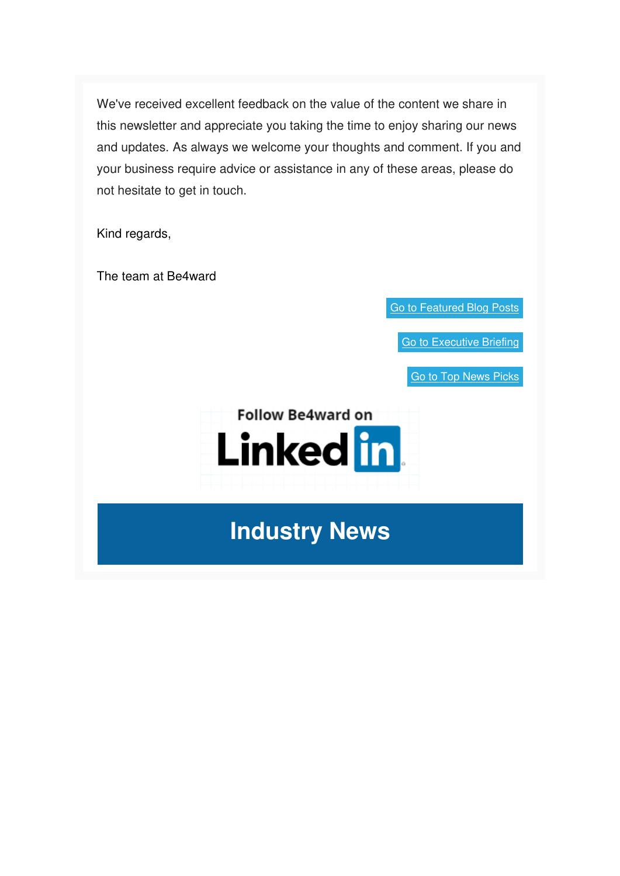We've received excellent feedback on the value of the content we share in this newsletter and appreciate you taking the time to enjoy sharing our news and updates. As always we welcome your thoughts and comment. If you and your business require advice or assistance in any of these areas, please do not hesitate to get in touch.

Kind regards,

The team at Be4ward

[Go to Featured Blog Posts](https://us5.admin.mailchimp.com/campaigns/preview-content-html?id=1383648#SMBlog1)

[Go to Executive Briefing](https://us5.admin.mailchimp.com/campaigns/preview-content-html?id=1383648#Executive Briefing 2)

[Go to Top News Picks](https://us5.admin.mailchimp.com/campaigns/preview-content-html?id=1383648#TOPNEWSPICKS)



**Industry News**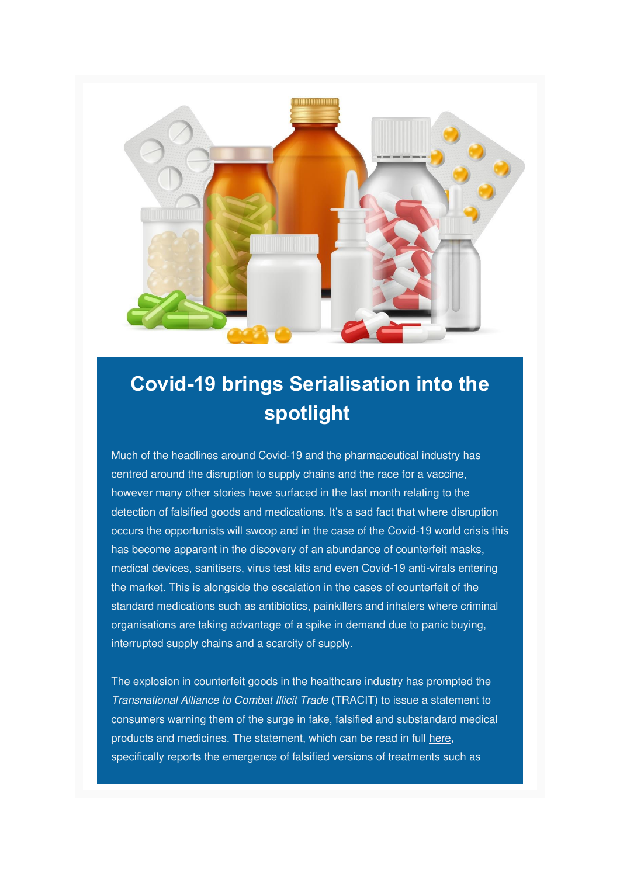

## **Covid-19 brings Serialisation into the spotlight**

Much of the headlines around Covid-19 and the pharmaceutical industry has centred around the disruption to supply chains and the race for a vaccine, however many other stories have surfaced in the last month relating to the detection of falsified goods and medications. It's a sad fact that where disruption occurs the opportunists will swoop and in the case of the Covid-19 world crisis this has become apparent in the discovery of an abundance of counterfeit masks, medical devices, sanitisers, virus test kits and even Covid-19 anti-virals entering the market. This is alongside the escalation in the cases of counterfeit of the standard medications such as antibiotics, painkillers and inhalers where criminal organisations are taking advantage of a spike in demand due to panic buying, interrupted supply chains and a scarcity of supply.

The explosion in counterfeit goods in the healthcare industry has prompted the Transnational Alliance to Combat Illicit Trade (TRACIT) to issue a statement to consumers warning them of the surge in fake, falsified and substandard medical products and medicines. The statement, which can be read in full [here](https://www.tracit.org/covid-19.html)**,**  specifically reports the emergence of falsified versions of treatments such as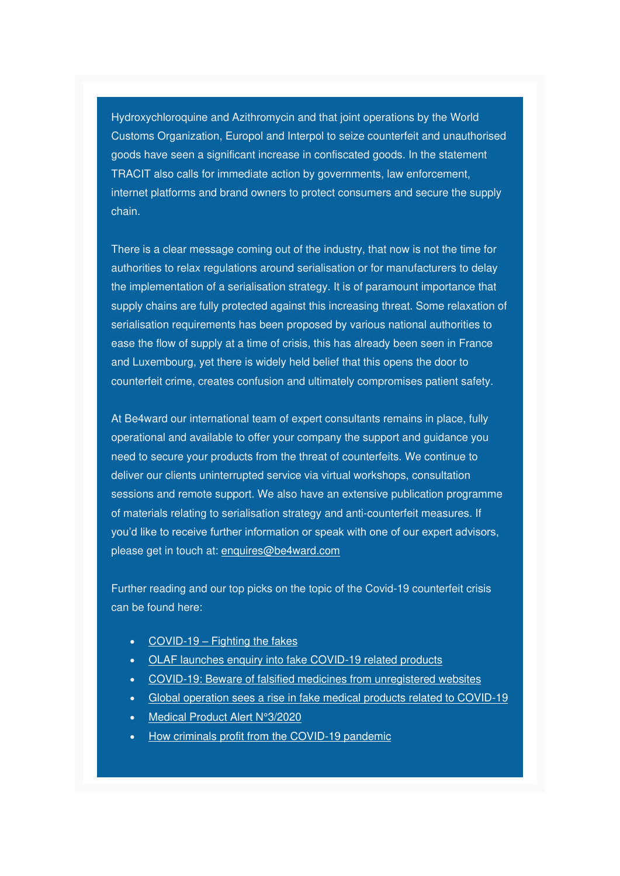Hydroxychloroquine and Azithromycin and that joint operations by the World Customs Organization, Europol and Interpol to seize counterfeit and unauthorised goods have seen a significant increase in confiscated goods. In the statement TRACIT also calls for immediate action by governments, law enforcement, internet platforms and brand owners to protect consumers and secure the supply chain.

There is a clear message coming out of the industry, that now is not the time for authorities to relax regulations around serialisation or for manufacturers to delay the implementation of a serialisation strategy. It is of paramount importance that supply chains are fully protected against this increasing threat. Some relaxation of serialisation requirements has been proposed by various national authorities to ease the flow of supply at a time of crisis, this has already been seen in France and Luxembourg, yet there is widely held belief that this opens the door to counterfeit crime, creates confusion and ultimately compromises patient safety.

At Be4ward our international team of expert consultants remains in place, fully operational and available to offer your company the support and guidance you need to secure your products from the threat of counterfeits. We continue to deliver our clients uninterrupted service via virtual workshops, consultation sessions and remote support. We also have an extensive publication programme of materials relating to serialisation strategy and anti-counterfeit measures. If you'd like to receive further information or speak with one of our expert advisors, please get in touch at: enquires@be4ward.com

Further reading and our top picks on the topic of the Covid-19 counterfeit crisis can be found here:

- COVID-19 – [Fighting the fakes](https://www.efpia.eu/news-events/the-efpia-view/blog-articles/covid-19-fighting-the-fakes/)
- [OLAF launches enquiry into fake COVID-19 related products](https://ec.europa.eu/anti-fraud/media-corner/news/20-03-2020/olaf-launches-enquiry-fake-covid-19-related-products_en)
- [COVID-19: Beware of falsified medicines from unregistered websites](https://www.ema.europa.eu/en/news/covid-19-beware-falsified-medicines-unregistered-websites)
- [Global operation sees a rise in fake medical products related to COVID-19](https://www.interpol.int/en/News-and-Events/News/2020/Global-operation-sees-a-rise-in-fake-medical-products-related-to-COVID-19)
- [Medical Product Alert N°3/2020](https://www.who.int/news-room/detail/31-03-2020-medical-product-alert-n-3-2020)
- [How criminals profit from the COVID-19 pandemic](https://www.europol.europa.eu/newsroom/news/how-criminals-profit-covid-19-pandemic)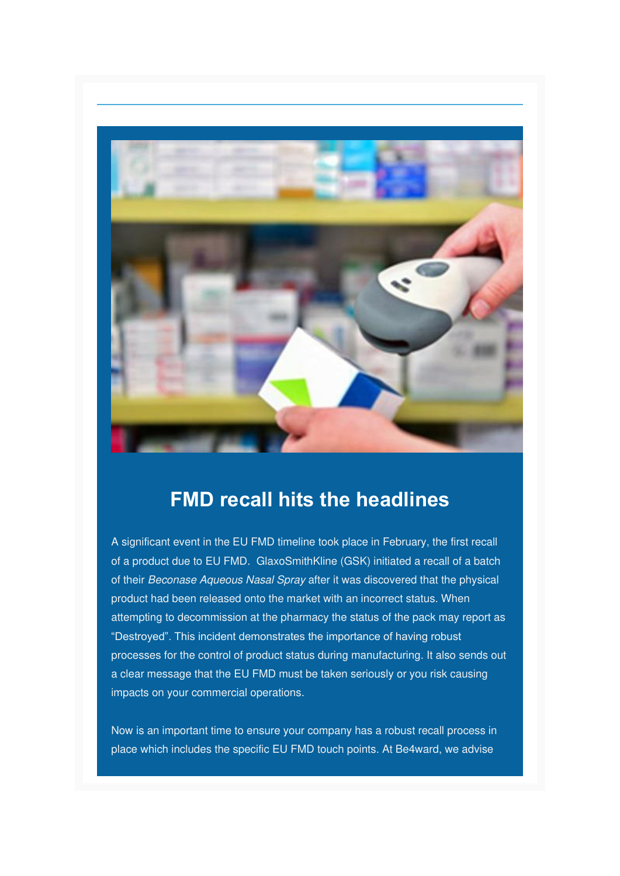

### **FMD recall hits the headlines**

A significant event in the EU FMD timeline took place in February, the first recall of a product due to EU FMD. GlaxoSmithKline (GSK) initiated a recall of a batch of their Beconase Aqueous Nasal Spray after it was discovered that the physical product had been released onto the market with an incorrect status. When attempting to decommission at the pharmacy the status of the pack may report as "Destroyed". This incident demonstrates the importance of having robust processes for the control of product status during manufacturing. It also sends out a clear message that the EU FMD must be taken seriously or you risk causing impacts on your commercial operations.

Now is an important time to ensure your company has a robust recall process in place which includes the specific EU FMD touch points. At Be4ward, we advise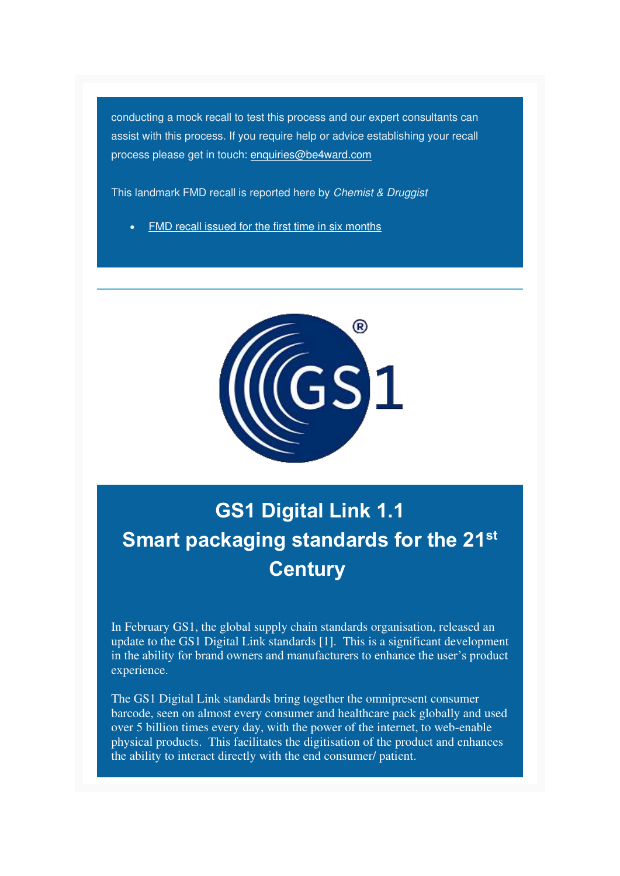conducting a mock recall to test this process and our expert consultants can assist with this process. If you require help or advice establishing your recall process please get in touch: [enquiries@be4ward.com](mailto:enquiries@be4ward.com)

This landmark FMD recall is reported here by Chemist & Druggist

• [FMD recall issued for the first time in six months](https://www.chemistanddruggist.co.uk/news/fmd-medicine-recall-issued-first-time-six-months)



## **GS1 Digital Link 1.1 Smart packaging standards for the 21st Century**

In February GS1, the global supply chain standards organisation, released an update to the GS1 Digital Link standards [1]. This is a significant development in the ability for brand owners and manufacturers to enhance the user's product experience.

The GS1 Digital Link standards bring together the omnipresent consumer barcode, seen on almost every consumer and healthcare pack globally and used over 5 billion times every day, with the power of the internet, to web-enable physical products. This facilitates the digitisation of the product and enhances the ability to interact directly with the end consumer/ patient.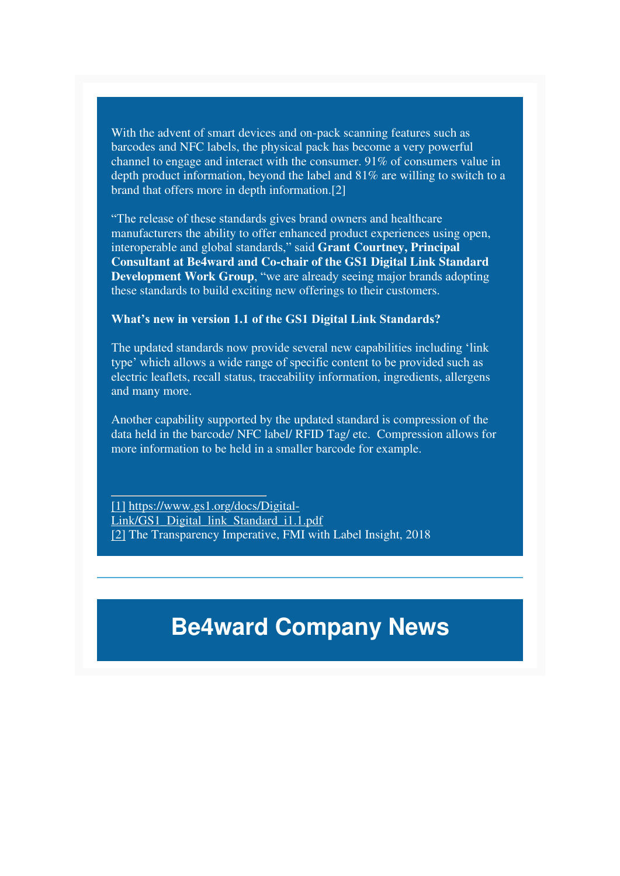With the advent of smart devices and on-pack scanning features such as barcodes and NFC labels, the physical pack has become a very powerful channel to engage and interact with the consumer. 91% of consumers value in depth product information, beyond the label and 81% are willing to switch to a brand that offers more in depth information.[2]

"The release of these standards gives brand owners and healthcare manufacturers the ability to offer enhanced product experiences using open, interoperable and global standards," said **Grant Courtney, Principal Consultant at Be4ward and Co-chair of the GS1 Digital Link Standard Development Work Group, "we are already seeing major brands adopting** these standards to build exciting new offerings to their customers.

#### **What's new in version 1.1 of the GS1 Digital Link Standards?**

The updated standards now provide several new capabilities including 'link type' which allows a wide range of specific content to be provided such as electric leaflets, recall status, traceability information, ingredients, allergens and many more.

Another capability supported by the updated standard is compression of the data held in the barcode/ NFC label/ RFID Tag/ etc. Compression allows for more information to be held in a smaller barcode for example.

[\[1\]](https://us5.admin.mailchimp.com/campaigns/preview-content-html?id=1383648#_ftnref1) [https://www.gs1.org/docs/Digital-](https://www.gs1.org/docs/Digital-Link/GS1_Digital_link_Standard_i1.1.pdf)[Link/GS1\\_Digital\\_link\\_Standard\\_i1.1.pdf](https://www.gs1.org/docs/Digital-Link/GS1_Digital_link_Standard_i1.1.pdf) [\[2\]](https://us5.admin.mailchimp.com/campaigns/preview-content-html?id=1383648#_ftnref2) The Transparency Imperative, FMI with Label Insight, 2018

## **Be4ward Company News**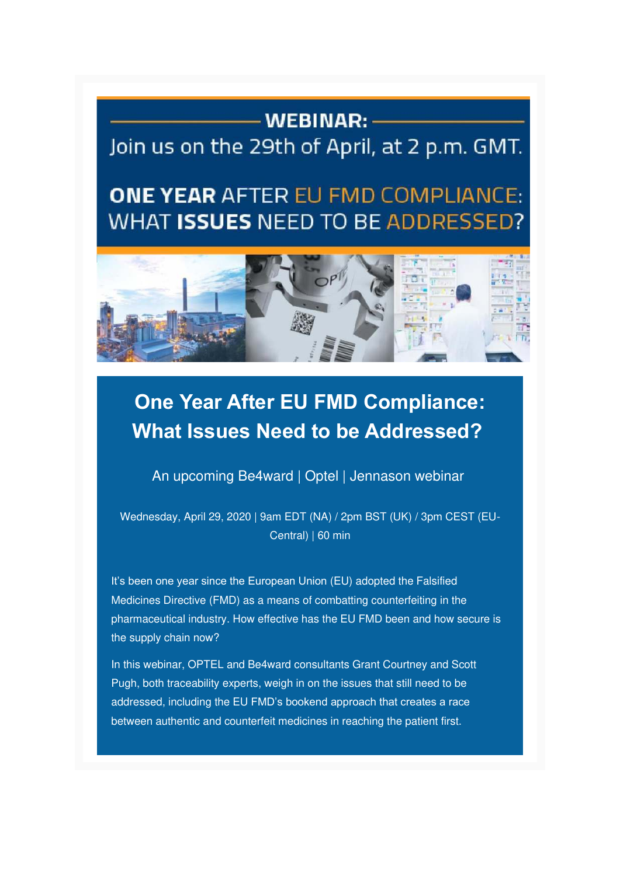### - WEBINAR: -

### Join us on the 29th of April, at 2 p.m. GMT.

## **ONE YEAR AFTER EU FMD COMPLIANCE:** WHAT ISSUES NEED TO BE ADDRESSED?



## **One Year After EU FMD Compliance: What Issues Need to be Addressed?**

An upcoming Be4ward | Optel | Jennason webinar

Wednesday, April 29, 2020 | 9am EDT (NA) / 2pm BST (UK) / 3pm CEST (EU-Central) | 60 min

It's been one year since the European Union (EU) adopted the Falsified Medicines Directive (FMD) as a means of combatting counterfeiting in the pharmaceutical industry. How effective has the EU FMD been and how secure is the supply chain now?

In this webinar, OPTEL and Be4ward consultants Grant Courtney and Scott Pugh, both traceability experts, weigh in on the issues that still need to be addressed, including the EU FMD's bookend approach that creates a race between authentic and counterfeit medicines in reaching the patient first.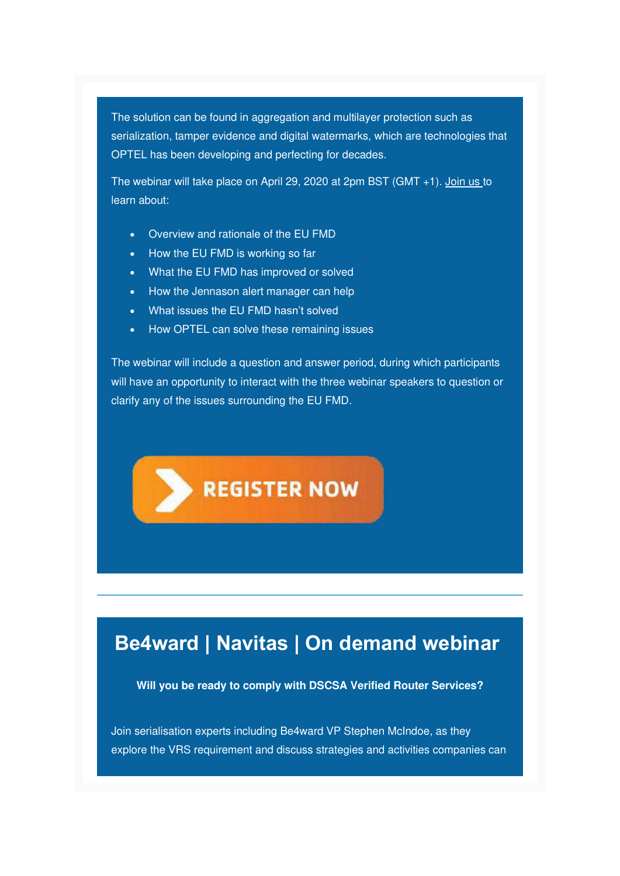The solution can be found in aggregation and multilayer protection such as serialization, tamper evidence and digital watermarks, which are technologies that OPTEL has been developing and perfecting for decades.

The webinar will take place on April 29, 2020 at 2pm BST (GMT +1). [Join us t](https://xtalks.com/webinars/one-year-after-eu-fmd-compliance-what-issues-need-to-be-addressed/)o learn about:

- Overview and rationale of the EU FMD
- How the EU FMD is working so far
- What the EU FMD has improved or solved
- How the Jennason alert manager can help
- What issues the EU FMD hasn't solved
- How OPTEL can solve these remaining issues

The webinar will include a question and answer period, during which participants will have an opportunity to interact with the three webinar speakers to question or clarify any of the issues surrounding the EU FMD.



### **Be4ward | Navitas | On demand webinar**

**Will you be ready to comply with DSCSA Verified Router Services?**

Join serialisation experts including Be4ward VP Stephen McIndoe, as they explore the VRS requirement and discuss strategies and activities companies can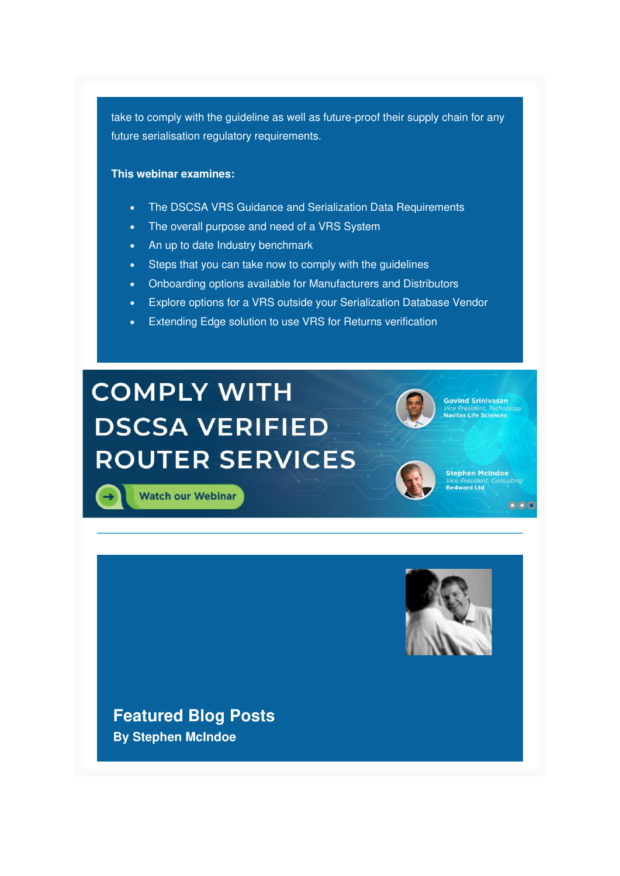take to comply with the guideline as well as future-proof their supply chain for any future serialisation regulatory requirements.

#### **This webinar examines:**

- The DSCSA VRS Guidance and Serialization Data Requirements
- The overall purpose and need of a VRS System
- An up to date Industry benchmark
- Steps that you can take now to comply with the guidelines
- Onboarding options available for Manufacturers and Distributors
- Explore options for a VRS outside your Serialization Database Vendor
- Extending Edge solution to use VRS for Returns verification

# **COMPLY WITH DSCSA VERIFIED ROUTER SERVICES**



**Govind Srinivasan** *ice President, Tecni.*<br>l<mark>avitas Life Science</mark>:

**Stephen McIndoe Be4ward Ltd** 

 $000$ 

**Watch our Webinar** 



**Featured Blog Posts By Stephen McIndoe**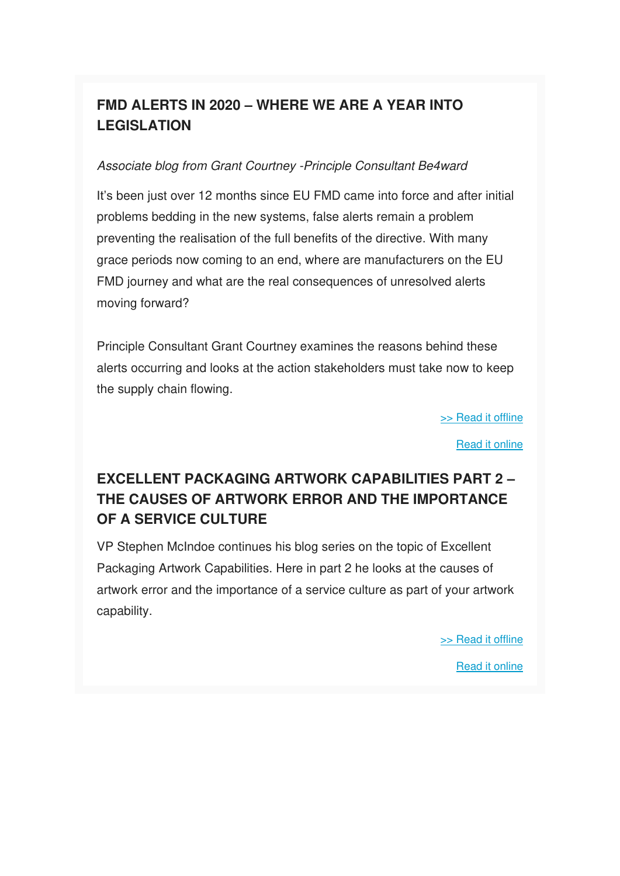### **FMD ALERTS IN 2020 – WHERE WE ARE A YEAR INTO LEGISLATION**

#### Associate blog from Grant Courtney -Principle Consultant Be4ward

It's been just over 12 months since EU FMD came into force and after initial problems bedding in the new systems, false alerts remain a problem preventing the realisation of the full benefits of the directive. With many grace periods now coming to an end, where are manufacturers on the EU FMD journey and what are the real consequences of unresolved alerts moving forward?

Principle Consultant Grant Courtney examines the reasons behind these alerts occurring and looks at the action stakeholders must take now to keep the supply chain flowing.

[>> Read it offline](https://us5.admin.mailchimp.com/campaigns/preview-content-html?id=1383648#SMBlog1)

[Read it online](https://www.be4ward.com/blogstephenmcindoe/2020/03/31/fmd-alerts-in-2020part1/)

### **EXCELLENT PACKAGING ARTWORK CAPABILITIES PART 2 – THE CAUSES OF ARTWORK ERROR AND THE IMPORTANCE OF A SERVICE CULTURE**

VP Stephen McIndoe continues his blog series on the topic of Excellent Packaging Artwork Capabilities. Here in part 2 he looks at the causes of artwork error and the importance of a service culture as part of your artwork capability.

[>> Read it offline](https://us5.admin.mailchimp.com/campaigns/preview-content-html?id=1383648#SMBlog2)

[Read it online](https://www.be4ward.com/blogstephenmcindoe/2020/02/28/excellent-packaging-artwork-capabilities-part-2-the-causes-of-artwork-error-and-the-importance-of-a-service-culture/)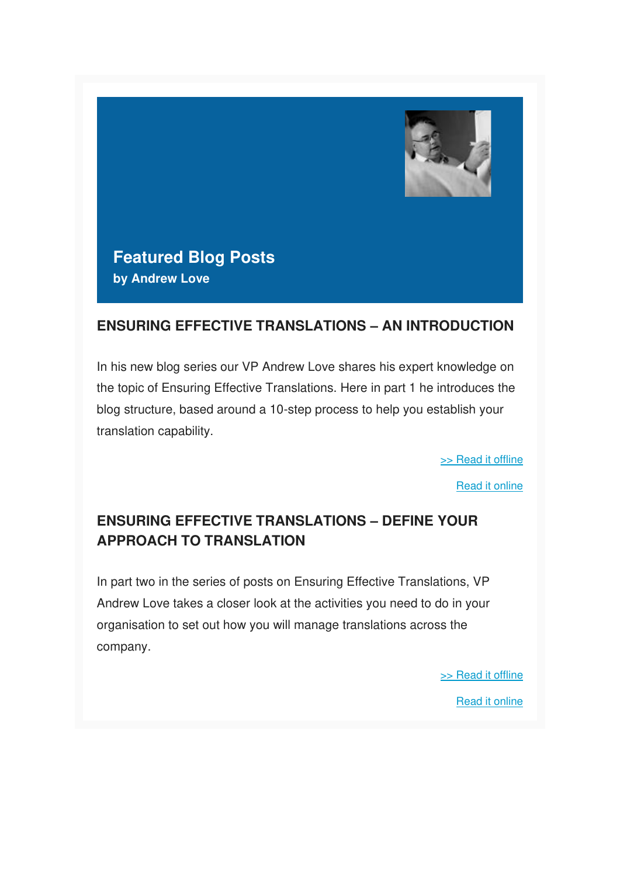

**Featured Blog Posts by Andrew Love**

#### **ENSURING EFFECTIVE TRANSLATIONS – AN INTRODUCTION**

In his new blog series our VP Andrew Love shares his expert knowledge on the topic of Ensuring Effective Translations. Here in part 1 he introduces the blog structure, based around a 10-step process to help you establish your translation capability.

[>> Read it offline](https://us5.admin.mailchimp.com/campaigns/preview-content-html?id=1383648#ALBlog1)

[Read it online](https://www.be4ward.com/blogandrewrlove/2020/02/28/ensuring-effective-translations-an-introduction/)

### **ENSURING EFFECTIVE TRANSLATIONS – DEFINE YOUR APPROACH TO TRANSLATION**

In part two in the series of posts on Ensuring Effective Translations, VP Andrew Love takes a closer look at the activities you need to do in your organisation to set out how you will manage translations across the company.

> [>> Read it offline](https://us5.admin.mailchimp.com/campaigns/preview-content-html?id=1383648#ALBlog2) [Read it online](https://www.be4ward.com/blogandrewrlove/2020/03/30/ensuring-effective-translations-2/)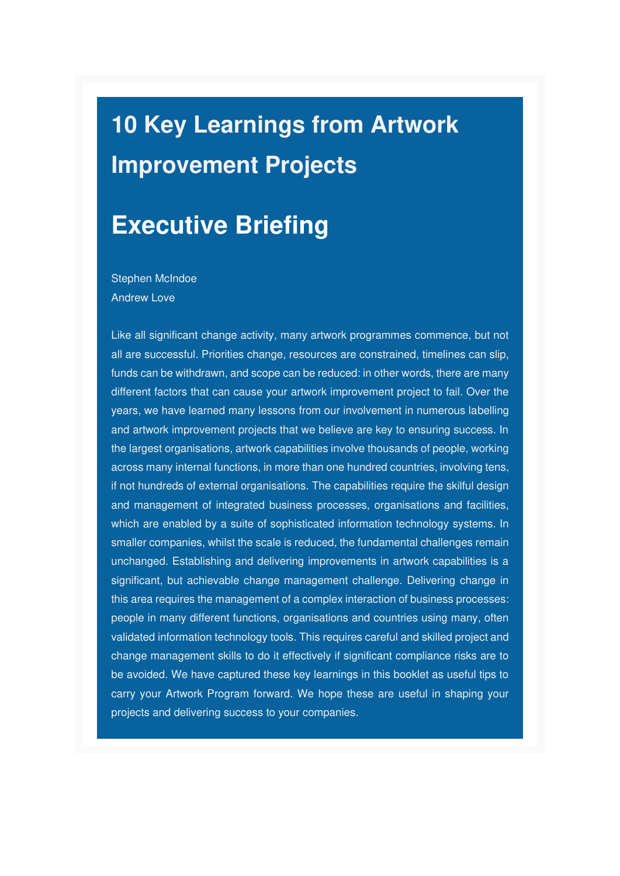# **10 Key Learnings from Artwork Improvement Projects**

## **Executive Briefing**

Stephen McIndoe Andrew Love

Like all significant change activity, many artwork programmes commence, but not all are successful. Priorities change, resources are constrained, timelines can slip, funds can be withdrawn, and scope can be reduced: in other words, there are many different factors that can cause your artwork improvement project to fail. Over the years, we have learned many lessons from our involvement in numerous labelling and artwork improvement projects that we believe are key to ensuring success. In the largest organisations, artwork capabilities involve thousands of people, working across many internal functions, in more than one hundred countries, involving tens, if not hundreds of external organisations. The capabilities require the skilful design and management of integrated business processes, organisations and facilities, which are enabled by a suite of sophisticated information technology systems. In smaller companies, whilst the scale is reduced, the fundamental challenges remain unchanged. Establishing and delivering improvements in artwork capabilities is a significant, but achievable change management challenge. Delivering change in this area requires the management of a complex interaction of business processes: people in many different functions, organisations and countries using many, often validated information technology tools. This requires careful and skilled project and change management skills to do it effectively if significant compliance risks are to be avoided. We have captured these key learnings in this booklet as useful tips to carry your Artwork Program forward. We hope these are useful in shaping your projects and delivering success to your companies.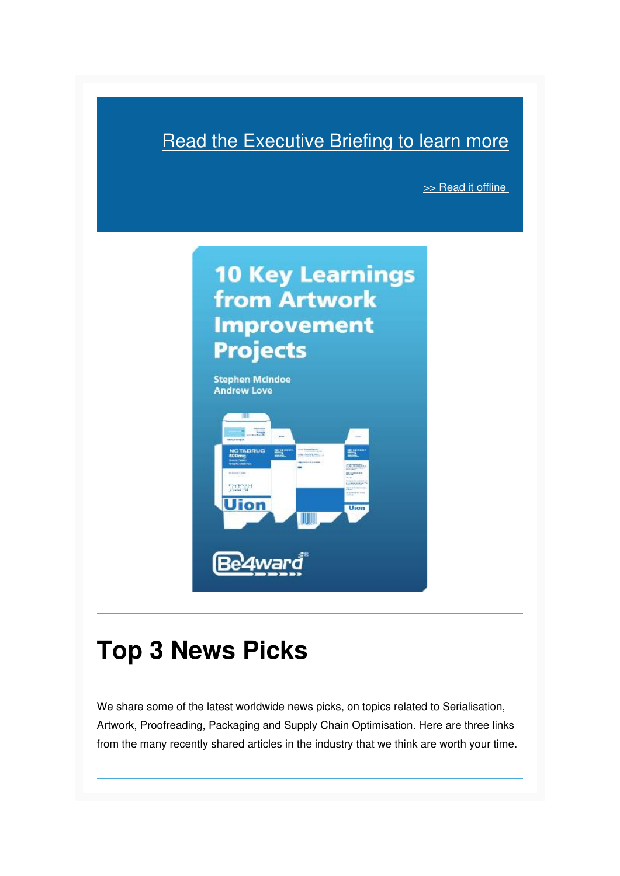### **[Read the Executive Briefing to learn more](https://mcusercontent.com/e26c7f2af713739ac392fa0ba/files/36712ebc-8765-4a9e-817b-222f70fe83bc/10_Key_Learnings_from_Artwork_Improvement_projects_Be4ward.pdf)**

[>> Read it offline](https://us5.admin.mailchimp.com/campaigns/preview-content-html?id=1383648#Executive Briefing 2) 



## **Top 3 News Picks**

We share some of the latest worldwide news picks, on topics related to Serialisation, Artwork, Proofreading, Packaging and Supply Chain Optimisation. Here are three links from the many recently shared articles in the industry that we think are worth your time.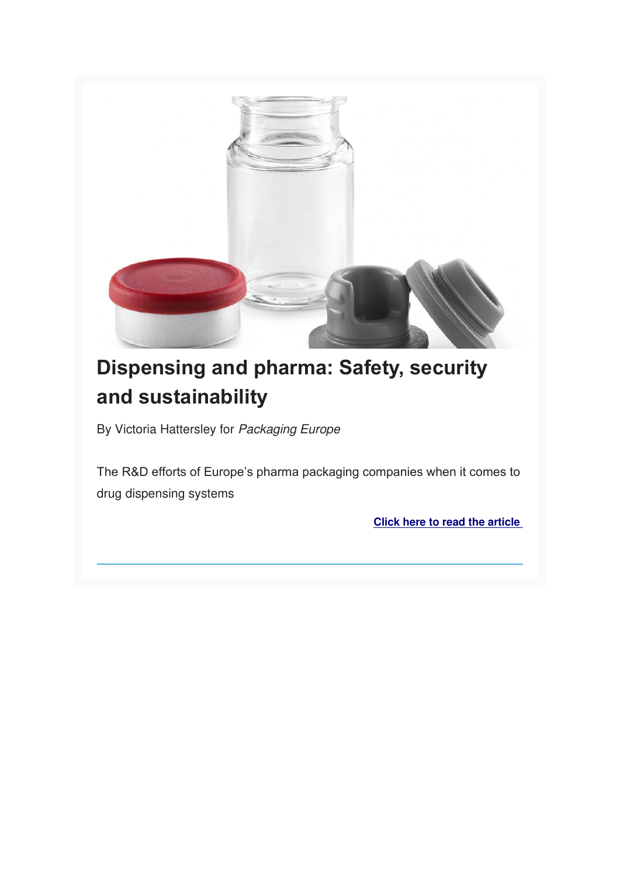

## **Dispensing and pharma: Safety, security and sustainability**

By Victoria Hattersley for Packaging Europe

The R&D efforts of Europe's pharma packaging companies when it comes to drug dispensing systems

**[Click here to read the article](https://packagingeurope.com/dispensing-and-pharma-safety-security-and-sustainability/)**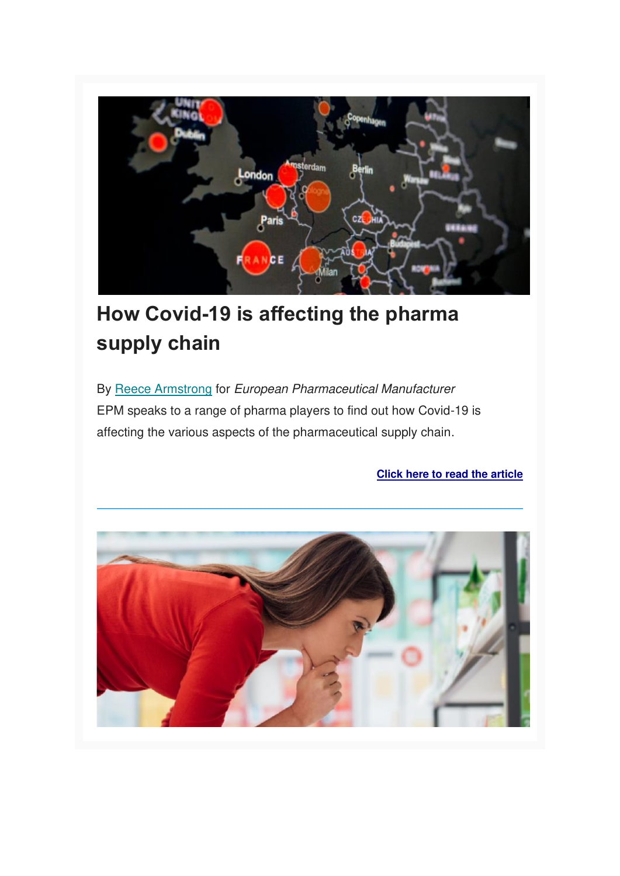

## **How Covid-19 is affecting the pharma supply chain**

By [Reece Armstrong](https://www.epmmagazine.com/topics/reece-armstrong/) for European Pharmaceutical Manufacturer EPM speaks to a range of pharma players to find out how Covid-19 is affecting the various aspects of the pharmaceutical supply chain.

**[Click here to read the article](https://www.epmmagazine.com/opinion/how-covid-19-is-affecting-the-pharma-supply-chain/)**

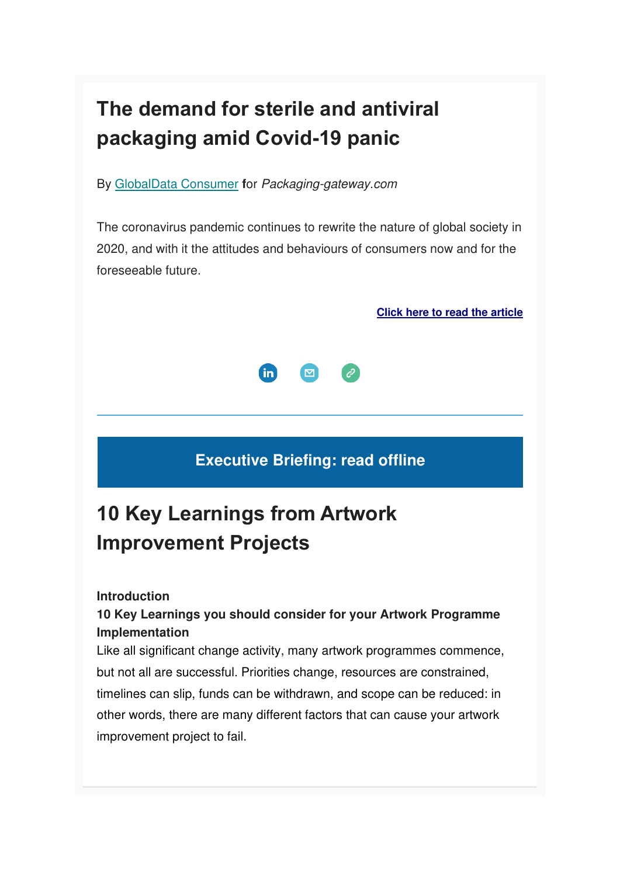## **The demand for sterile and antiviral packaging amid Covid-19 panic**

By [GlobalData Consumer](https://www.packaging-gateway.com/author/consumerglobaldata/) **f**or Packaging-gateway.com

The coronavirus pandemic continues to rewrite the nature of global society in 2020, and with it the attitudes and behaviours of consumers now and for the foreseeable future.

**[Click here to read the article](https://www.packaging-gateway.com/comment/sterile-antiviral-packaging-covid-19/)**



### **Executive Briefing: read offline**

## **10 Key Learnings from Artwork Improvement Projects**

#### **Introduction**

### **10 Key Learnings you should consider for your Artwork Programme Implementation**

Like all significant change activity, many artwork programmes commence, but not all are successful. Priorities change, resources are constrained, timelines can slip, funds can be withdrawn, and scope can be reduced: in other words, there are many different factors that can cause your artwork improvement project to fail.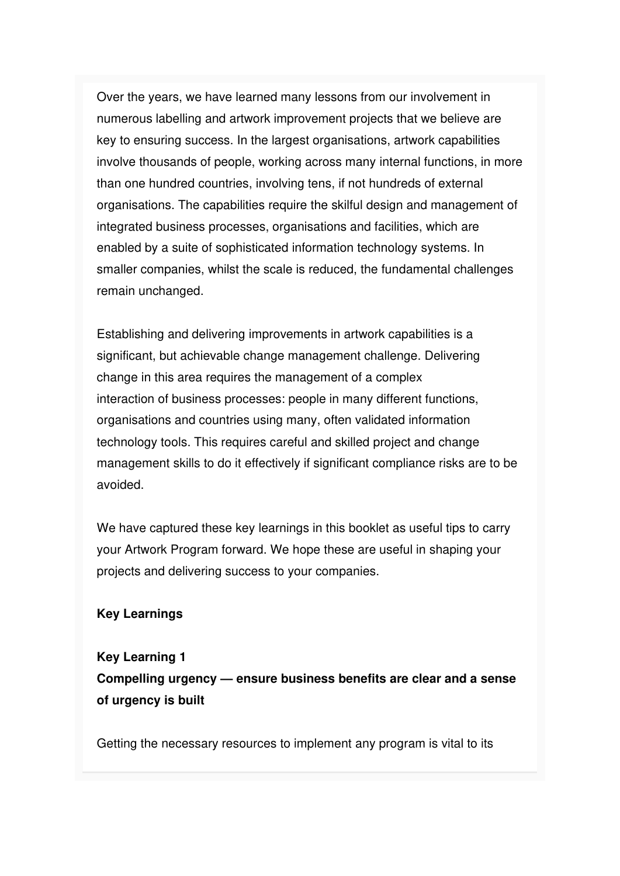Over the years, we have learned many lessons from our involvement in numerous labelling and artwork improvement projects that we believe are key to ensuring success. In the largest organisations, artwork capabilities involve thousands of people, working across many internal functions, in more than one hundred countries, involving tens, if not hundreds of external organisations. The capabilities require the skilful design and management of integrated business processes, organisations and facilities, which are enabled by a suite of sophisticated information technology systems. In smaller companies, whilst the scale is reduced, the fundamental challenges remain unchanged.

Establishing and delivering improvements in artwork capabilities is a significant, but achievable change management challenge. Delivering change in this area requires the management of a complex interaction of business processes: people in many different functions, organisations and countries using many, often validated information technology tools. This requires careful and skilled project and change management skills to do it effectively if significant compliance risks are to be avoided.

We have captured these key learnings in this booklet as useful tips to carry your Artwork Program forward. We hope these are useful in shaping your projects and delivering success to your companies.

#### **Key Learnings**

### **Key Learning 1 Compelling urgency — ensure business benefits are clear and a sense of urgency is built**

Getting the necessary resources to implement any program is vital to its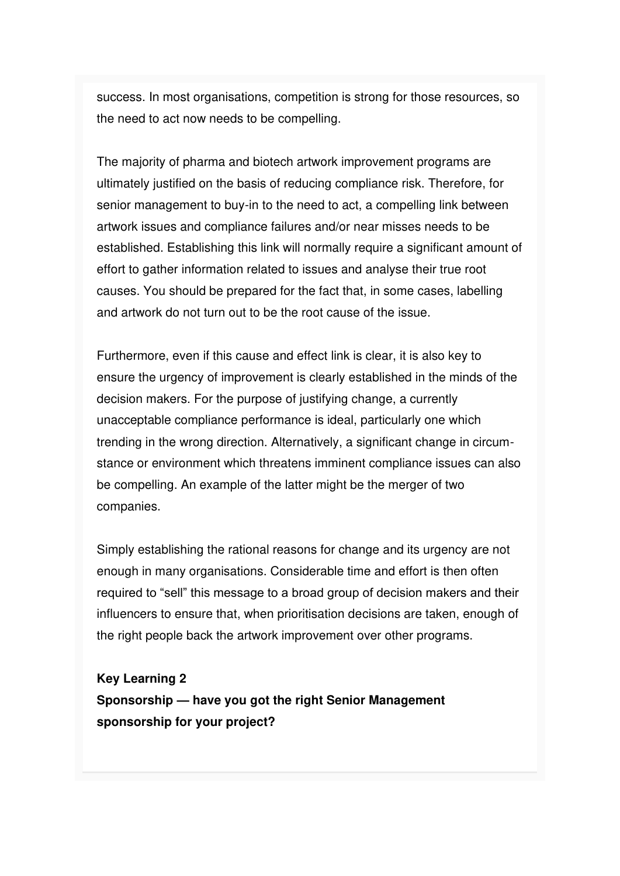success. In most organisations, competition is strong for those resources, so the need to act now needs to be compelling.

The majority of pharma and biotech artwork improvement programs are ultimately justified on the basis of reducing compliance risk. Therefore, for senior management to buy-in to the need to act, a compelling link between artwork issues and compliance failures and/or near misses needs to be established. Establishing this link will normally require a significant amount of effort to gather information related to issues and analyse their true root causes. You should be prepared for the fact that, in some cases, labelling and artwork do not turn out to be the root cause of the issue.

Furthermore, even if this cause and effect link is clear, it is also key to ensure the urgency of improvement is clearly established in the minds of the decision makers. For the purpose of justifying change, a currently unacceptable compliance performance is ideal, particularly one which trending in the wrong direction. Alternatively, a significant change in circumstance or environment which threatens imminent compliance issues can also be compelling. An example of the latter might be the merger of two companies.

Simply establishing the rational reasons for change and its urgency are not enough in many organisations. Considerable time and effort is then often required to "sell" this message to a broad group of decision makers and their influencers to ensure that, when prioritisation decisions are taken, enough of the right people back the artwork improvement over other programs.

**Key Learning 2 Sponsorship — have you got the right Senior Management sponsorship for your project?**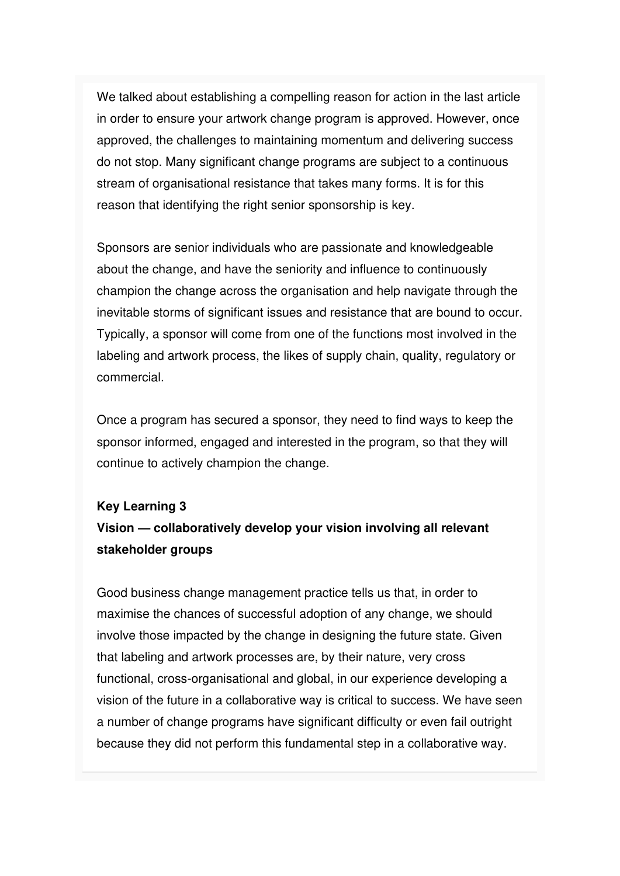We talked about establishing a compelling reason for action in the last article in order to ensure your artwork change program is approved. However, once approved, the challenges to maintaining momentum and delivering success do not stop. Many significant change programs are subject to a continuous stream of organisational resistance that takes many forms. It is for this reason that identifying the right senior sponsorship is key.

Sponsors are senior individuals who are passionate and knowledgeable about the change, and have the seniority and influence to continuously champion the change across the organisation and help navigate through the inevitable storms of significant issues and resistance that are bound to occur. Typically, a sponsor will come from one of the functions most involved in the labeling and artwork process, the likes of supply chain, quality, regulatory or commercial.

Once a program has secured a sponsor, they need to find ways to keep the sponsor informed, engaged and interested in the program, so that they will continue to actively champion the change.

#### **Key Learning 3**

### **Vision — collaboratively develop your vision involving all relevant stakeholder groups**

Good business change management practice tells us that, in order to maximise the chances of successful adoption of any change, we should involve those impacted by the change in designing the future state. Given that labeling and artwork processes are, by their nature, very cross functional, cross-organisational and global, in our experience developing a vision of the future in a collaborative way is critical to success. We have seen a number of change programs have significant difficulty or even fail outright because they did not perform this fundamental step in a collaborative way.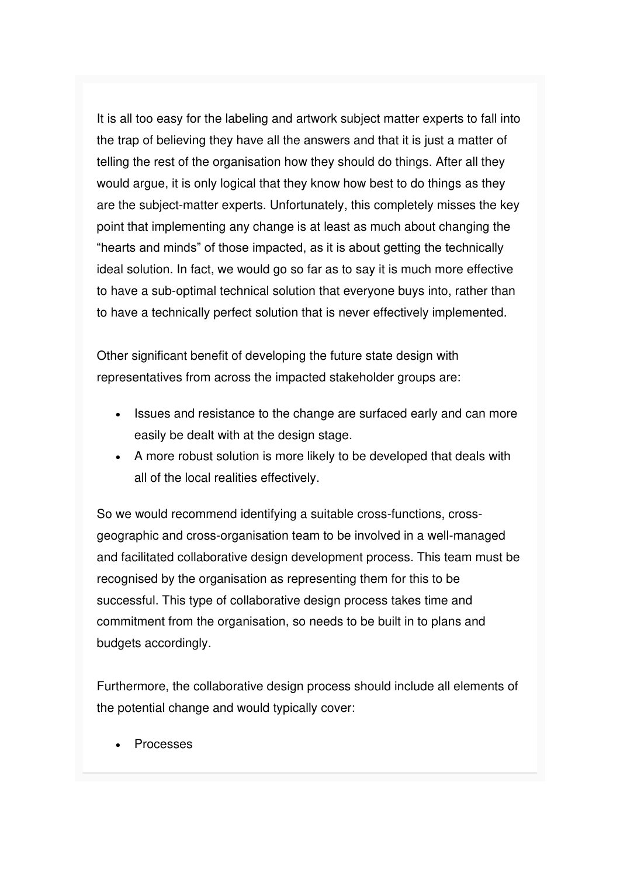It is all too easy for the labeling and artwork subject matter experts to fall into the trap of believing they have all the answers and that it is just a matter of telling the rest of the organisation how they should do things. After all they would argue, it is only logical that they know how best to do things as they are the subject-matter experts. Unfortunately, this completely misses the key point that implementing any change is at least as much about changing the "hearts and minds" of those impacted, as it is about getting the technically ideal solution. In fact, we would go so far as to say it is much more effective to have a sub-optimal technical solution that everyone buys into, rather than to have a technically perfect solution that is never effectively implemented.

Other significant benefit of developing the future state design with representatives from across the impacted stakeholder groups are:

- Issues and resistance to the change are surfaced early and can more easily be dealt with at the design stage.
- A more robust solution is more likely to be developed that deals with all of the local realities effectively.

So we would recommend identifying a suitable cross-functions, crossgeographic and cross-organisation team to be involved in a well-managed and facilitated collaborative design development process. This team must be recognised by the organisation as representing them for this to be successful. This type of collaborative design process takes time and commitment from the organisation, so needs to be built in to plans and budgets accordingly.

Furthermore, the collaborative design process should include all elements of the potential change and would typically cover:

• Processes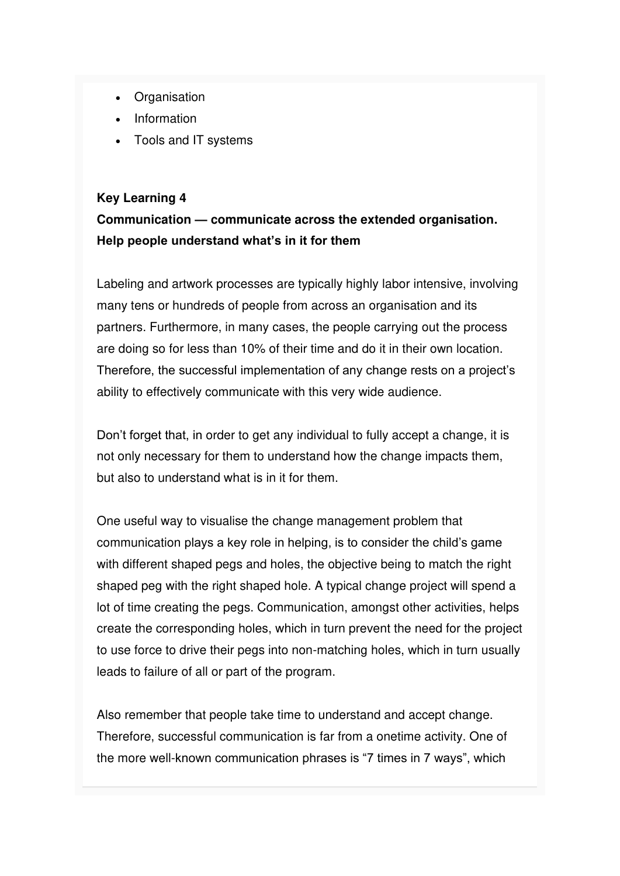- Organisation
- Information
- Tools and IT systems

#### **Key Learning 4**

### **Communication — communicate across the extended organisation. Help people understand what's in it for them**

Labeling and artwork processes are typically highly labor intensive, involving many tens or hundreds of people from across an organisation and its partners. Furthermore, in many cases, the people carrying out the process are doing so for less than 10% of their time and do it in their own location. Therefore, the successful implementation of any change rests on a project's ability to effectively communicate with this very wide audience.

Don't forget that, in order to get any individual to fully accept a change, it is not only necessary for them to understand how the change impacts them, but also to understand what is in it for them.

One useful way to visualise the change management problem that communication plays a key role in helping, is to consider the child's game with different shaped pegs and holes, the objective being to match the right shaped peg with the right shaped hole. A typical change project will spend a lot of time creating the pegs. Communication, amongst other activities, helps create the corresponding holes, which in turn prevent the need for the project to use force to drive their pegs into non-matching holes, which in turn usually leads to failure of all or part of the program.

Also remember that people take time to understand and accept change. Therefore, successful communication is far from a onetime activity. One of the more well-known communication phrases is "7 times in 7 ways", which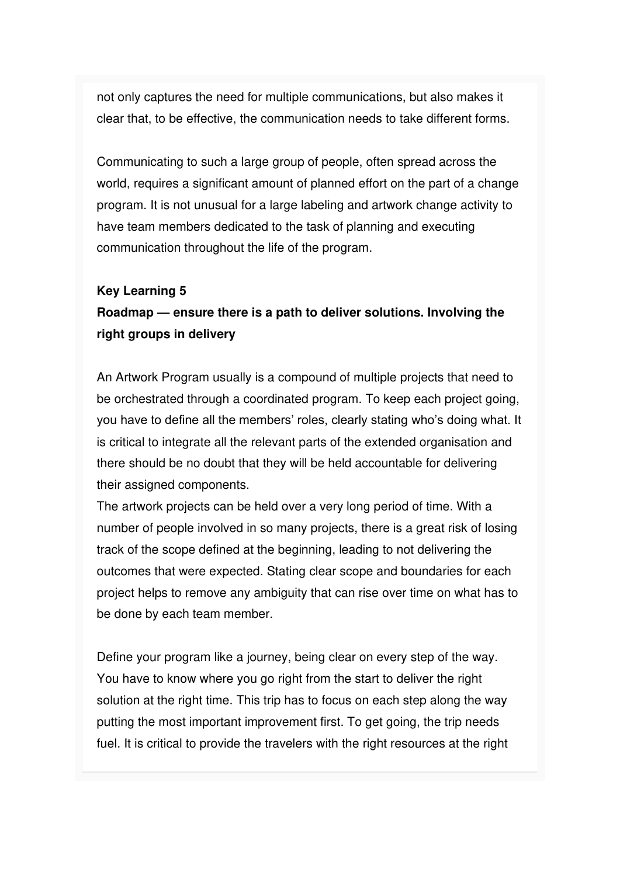not only captures the need for multiple communications, but also makes it clear that, to be effective, the communication needs to take different forms.

Communicating to such a large group of people, often spread across the world, requires a significant amount of planned effort on the part of a change program. It is not unusual for a large labeling and artwork change activity to have team members dedicated to the task of planning and executing communication throughout the life of the program.

#### **Key Learning 5**

### **Roadmap — ensure there is a path to deliver solutions. Involving the right groups in delivery**

An Artwork Program usually is a compound of multiple projects that need to be orchestrated through a coordinated program. To keep each project going, you have to define all the members' roles, clearly stating who's doing what. It is critical to integrate all the relevant parts of the extended organisation and there should be no doubt that they will be held accountable for delivering their assigned components.

The artwork projects can be held over a very long period of time. With a number of people involved in so many projects, there is a great risk of losing track of the scope defined at the beginning, leading to not delivering the outcomes that were expected. Stating clear scope and boundaries for each project helps to remove any ambiguity that can rise over time on what has to be done by each team member.

Define your program like a journey, being clear on every step of the way. You have to know where you go right from the start to deliver the right solution at the right time. This trip has to focus on each step along the way putting the most important improvement first. To get going, the trip needs fuel. It is critical to provide the travelers with the right resources at the right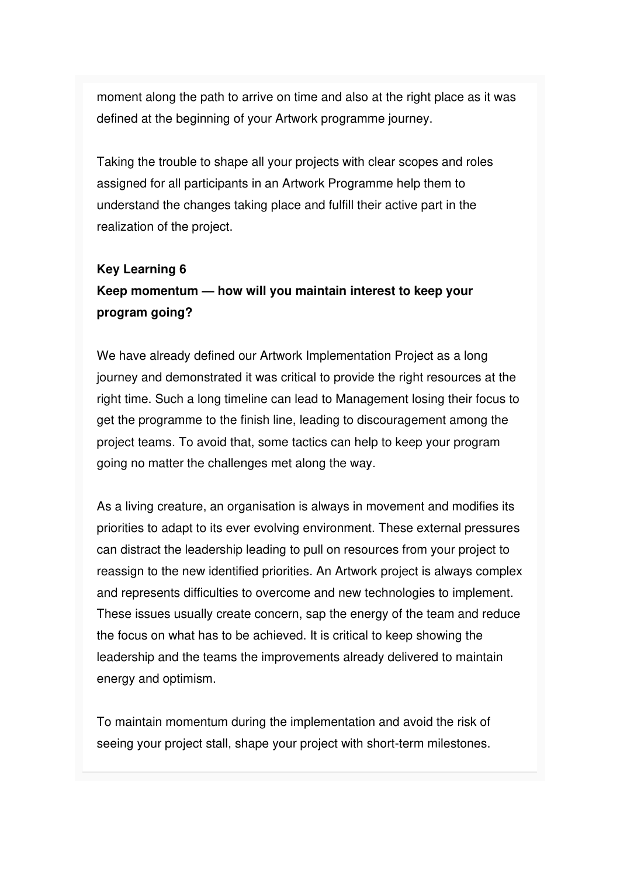moment along the path to arrive on time and also at the right place as it was defined at the beginning of your Artwork programme journey.

Taking the trouble to shape all your projects with clear scopes and roles assigned for all participants in an Artwork Programme help them to understand the changes taking place and fulfill their active part in the realization of the project.

#### **Key Learning 6**

### **Keep momentum — how will you maintain interest to keep your program going?**

We have already defined our Artwork Implementation Project as a long journey and demonstrated it was critical to provide the right resources at the right time. Such a long timeline can lead to Management losing their focus to get the programme to the finish line, leading to discouragement among the project teams. To avoid that, some tactics can help to keep your program going no matter the challenges met along the way.

As a living creature, an organisation is always in movement and modifies its priorities to adapt to its ever evolving environment. These external pressures can distract the leadership leading to pull on resources from your project to reassign to the new identified priorities. An Artwork project is always complex and represents difficulties to overcome and new technologies to implement. These issues usually create concern, sap the energy of the team and reduce the focus on what has to be achieved. It is critical to keep showing the leadership and the teams the improvements already delivered to maintain energy and optimism.

To maintain momentum during the implementation and avoid the risk of seeing your project stall, shape your project with short-term milestones.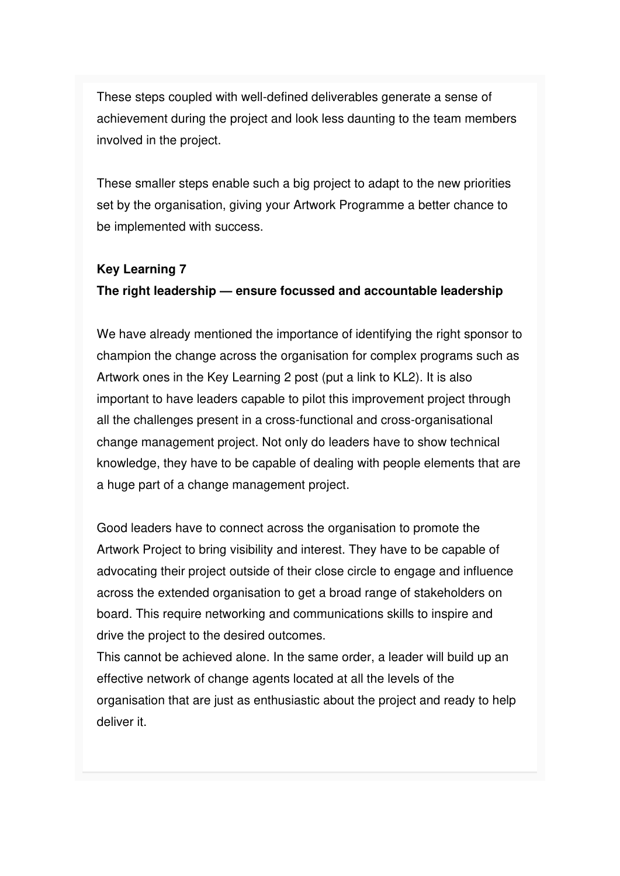These steps coupled with well-defined deliverables generate a sense of achievement during the project and look less daunting to the team members involved in the project.

These smaller steps enable such a big project to adapt to the new priorities set by the organisation, giving your Artwork Programme a better chance to be implemented with success.

#### **Key Learning 7**

#### **The right leadership — ensure focussed and accountable leadership**

We have already mentioned the importance of identifying the right sponsor to champion the change across the organisation for complex programs such as Artwork ones in the Key Learning 2 post (put a link to KL2). It is also important to have leaders capable to pilot this improvement project through all the challenges present in a cross-functional and cross-organisational change management project. Not only do leaders have to show technical knowledge, they have to be capable of dealing with people elements that are a huge part of a change management project.

Good leaders have to connect across the organisation to promote the Artwork Project to bring visibility and interest. They have to be capable of advocating their project outside of their close circle to engage and influence across the extended organisation to get a broad range of stakeholders on board. This require networking and communications skills to inspire and drive the project to the desired outcomes.

This cannot be achieved alone. In the same order, a leader will build up an effective network of change agents located at all the levels of the organisation that are just as enthusiastic about the project and ready to help deliver it.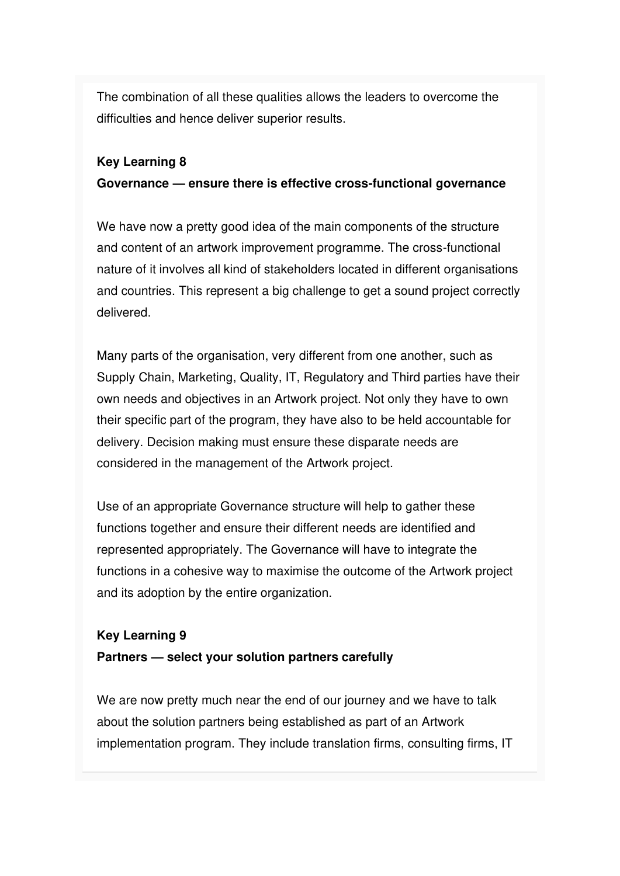The combination of all these qualities allows the leaders to overcome the difficulties and hence deliver superior results.

#### **Key Learning 8**

#### **Governance — ensure there is effective cross-functional governance**

We have now a pretty good idea of the main components of the structure and content of an artwork improvement programme. The cross-functional nature of it involves all kind of stakeholders located in different organisations and countries. This represent a big challenge to get a sound project correctly delivered.

Many parts of the organisation, very different from one another, such as Supply Chain, Marketing, Quality, IT, Regulatory and Third parties have their own needs and objectives in an Artwork project. Not only they have to own their specific part of the program, they have also to be held accountable for delivery. Decision making must ensure these disparate needs are considered in the management of the Artwork project.

Use of an appropriate Governance structure will help to gather these functions together and ensure their different needs are identified and represented appropriately. The Governance will have to integrate the functions in a cohesive way to maximise the outcome of the Artwork project and its adoption by the entire organization.

#### **Key Learning 9**

#### **Partners — select your solution partners carefully**

We are now pretty much near the end of our journey and we have to talk about the solution partners being established as part of an Artwork implementation program. They include translation firms, consulting firms, IT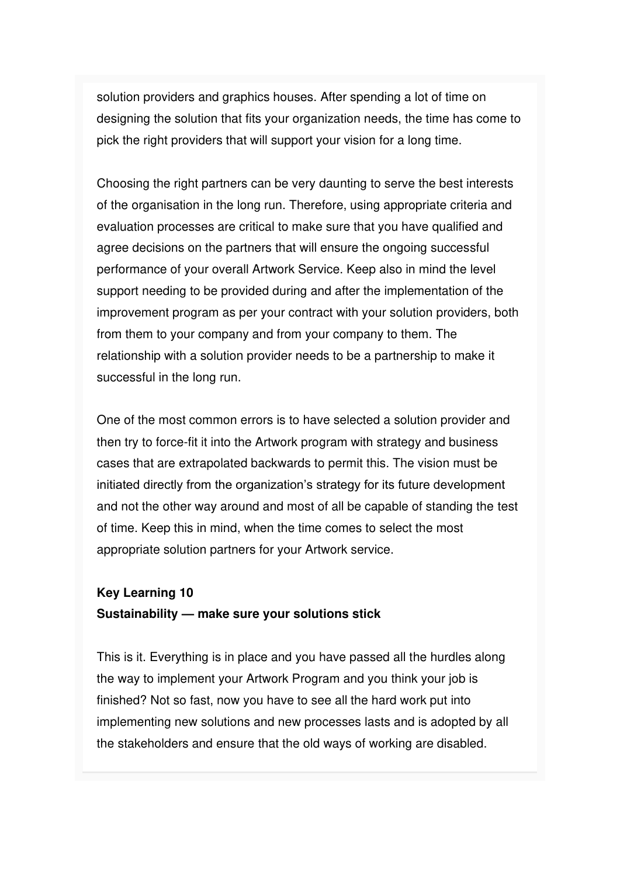solution providers and graphics houses. After spending a lot of time on designing the solution that fits your organization needs, the time has come to pick the right providers that will support your vision for a long time.

Choosing the right partners can be very daunting to serve the best interests of the organisation in the long run. Therefore, using appropriate criteria and evaluation processes are critical to make sure that you have qualified and agree decisions on the partners that will ensure the ongoing successful performance of your overall Artwork Service. Keep also in mind the level support needing to be provided during and after the implementation of the improvement program as per your contract with your solution providers, both from them to your company and from your company to them. The relationship with a solution provider needs to be a partnership to make it successful in the long run.

One of the most common errors is to have selected a solution provider and then try to force-fit it into the Artwork program with strategy and business cases that are extrapolated backwards to permit this. The vision must be initiated directly from the organization's strategy for its future development and not the other way around and most of all be capable of standing the test of time. Keep this in mind, when the time comes to select the most appropriate solution partners for your Artwork service.

### **Key Learning 10 Sustainability — make sure your solutions stick**

This is it. Everything is in place and you have passed all the hurdles along the way to implement your Artwork Program and you think your job is finished? Not so fast, now you have to see all the hard work put into implementing new solutions and new processes lasts and is adopted by all the stakeholders and ensure that the old ways of working are disabled.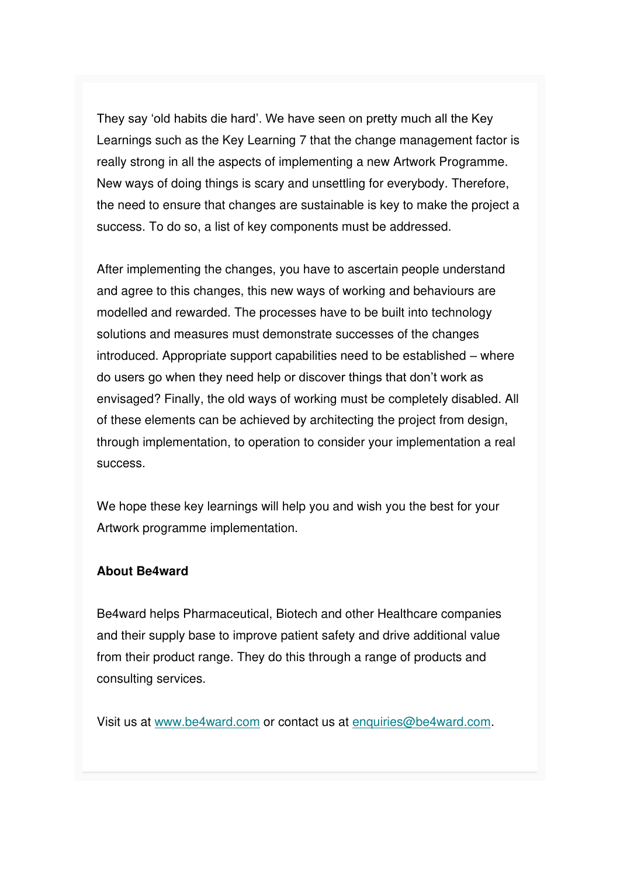They say 'old habits die hard'. We have seen on pretty much all the Key Learnings such as the Key Learning 7 that the change management factor is really strong in all the aspects of implementing a new Artwork Programme. New ways of doing things is scary and unsettling for everybody. Therefore, the need to ensure that changes are sustainable is key to make the project a success. To do so, a list of key components must be addressed.

After implementing the changes, you have to ascertain people understand and agree to this changes, this new ways of working and behaviours are modelled and rewarded. The processes have to be built into technology solutions and measures must demonstrate successes of the changes introduced. Appropriate support capabilities need to be established – where do users go when they need help or discover things that don't work as envisaged? Finally, the old ways of working must be completely disabled. All of these elements can be achieved by architecting the project from design, through implementation, to operation to consider your implementation a real success.

We hope these key learnings will help you and wish you the best for your Artwork programme implementation.

#### **About Be4ward**

Be4ward helps Pharmaceutical, Biotech and other Healthcare companies and their supply base to improve patient safety and drive additional value from their product range. They do this through a range of products and consulting services.

Visit us at [www.be4ward.com](http://www.be4ward.com/) or contact us at [enquiries@be4ward.com.](mailto:enquiries@be4ward.com)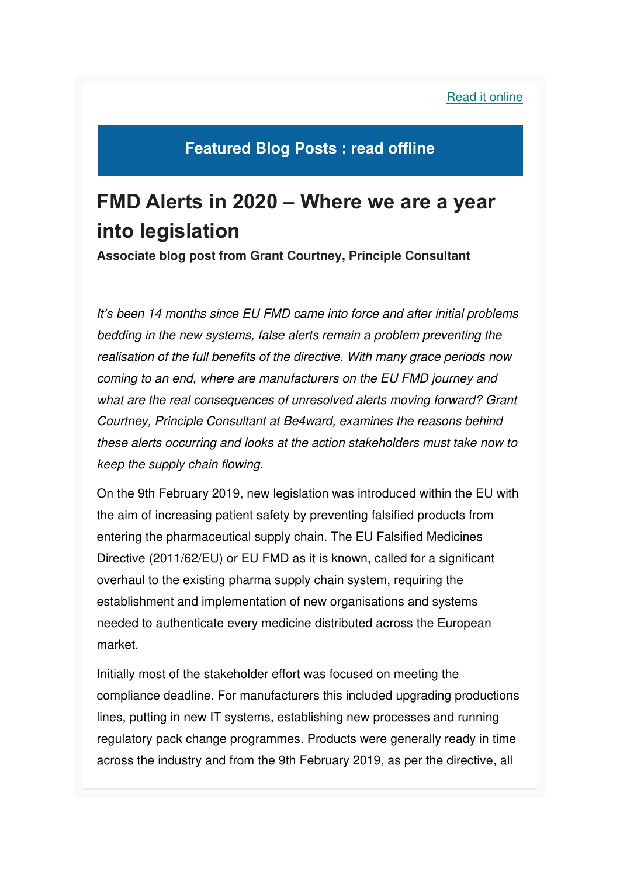#### [Read it online](https://mcusercontent.com/e26c7f2af713739ac392fa0ba/images/fec849cd-ec5d-4606-8d85-5ed8cf7bbc2b.png)

### **Featured Blog Posts : read offline**

## **FMD Alerts in 2020 – Where we are a year into legislation**

**Associate blog post from Grant Courtney, Principle Consultant**

*It's* been 14 months since EU FMD came into force and after initial problems bedding in the new systems, false alerts remain a problem preventing the realisation of the full benefits of the directive. With many grace periods now coming to an end, where are manufacturers on the EU FMD journey and what are the real consequences of unresolved alerts moving forward? Grant Courtney, Principle Consultant at Be4ward, examines the reasons behind these alerts occurring and looks at the action stakeholders must take now to keep the supply chain flowing.

On the 9th February 2019, new legislation was introduced within the EU with the aim of increasing patient safety by preventing falsified products from entering the pharmaceutical supply chain. The EU Falsified Medicines Directive (2011/62/EU) or EU FMD as it is known, called for a significant overhaul to the existing pharma supply chain system, requiring the establishment and implementation of new organisations and systems needed to authenticate every medicine distributed across the European market.

Initially most of the stakeholder effort was focused on meeting the compliance deadline. For manufacturers this included upgrading productions lines, putting in new IT systems, establishing new processes and running regulatory pack change programmes. Products were generally ready in time across the industry and from the 9th February 2019, as per the directive, all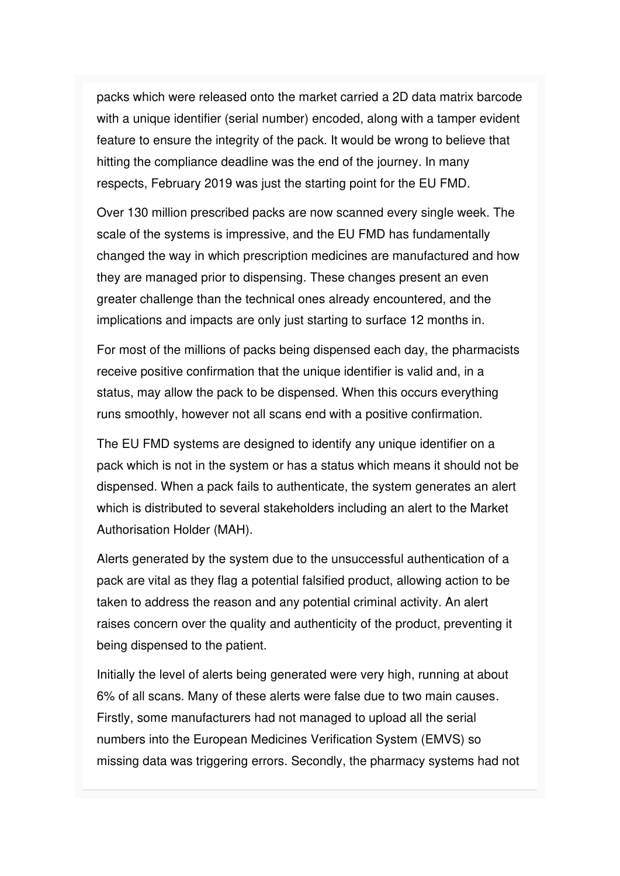packs which were released onto the market carried a 2D data matrix barcode with a unique identifier (serial number) encoded, along with a tamper evident feature to ensure the integrity of the pack. It would be wrong to believe that hitting the compliance deadline was the end of the journey. In many respects, February 2019 was just the starting point for the EU FMD.

Over 130 million prescribed packs are now scanned every single week. The scale of the systems is impressive, and the EU FMD has fundamentally changed the way in which prescription medicines are manufactured and how they are managed prior to dispensing. These changes present an even greater challenge than the technical ones already encountered, and the implications and impacts are only just starting to surface 12 months in.

For most of the millions of packs being dispensed each day, the pharmacists receive positive confirmation that the unique identifier is valid and, in a status, may allow the pack to be dispensed. When this occurs everything runs smoothly, however not all scans end with a positive confirmation.

The EU FMD systems are designed to identify any unique identifier on a pack which is not in the system or has a status which means it should not be dispensed. When a pack fails to authenticate, the system generates an alert which is distributed to several stakeholders including an alert to the Market Authorisation Holder (MAH).

Alerts generated by the system due to the unsuccessful authentication of a pack are vital as they flag a potential falsified product, allowing action to be taken to address the reason and any potential criminal activity. An alert raises concern over the quality and authenticity of the product, preventing it being dispensed to the patient.

Initially the level of alerts being generated were very high, running at about 6% of all scans. Many of these alerts were false due to two main causes. Firstly, some manufacturers had not managed to upload all the serial numbers into the European Medicines Verification System (EMVS) so missing data was triggering errors. Secondly, the pharmacy systems had not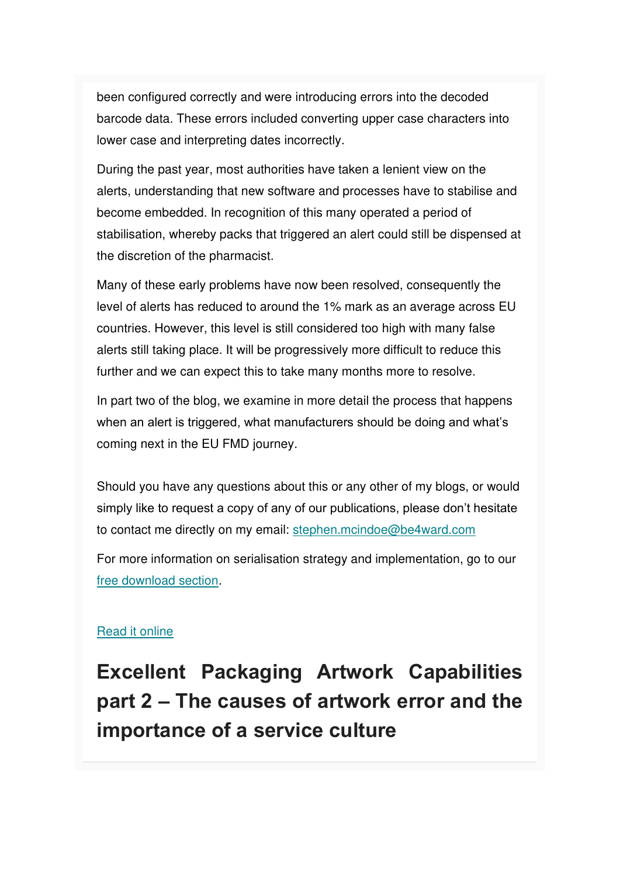been configured correctly and were introducing errors into the decoded barcode data. These errors included converting upper case characters into lower case and interpreting dates incorrectly.

During the past year, most authorities have taken a lenient view on the alerts, understanding that new software and processes have to stabilise and become embedded. In recognition of this many operated a period of stabilisation, whereby packs that triggered an alert could still be dispensed at the discretion of the pharmacist.

Many of these early problems have now been resolved, consequently the level of alerts has reduced to around the 1% mark as an average across EU countries. However, this level is still considered too high with many false alerts still taking place. It will be progressively more difficult to reduce this further and we can expect this to take many months more to resolve.

In part two of the blog, we examine in more detail the process that happens when an alert is triggered, what manufacturers should be doing and what's coming next in the EU FMD journey.

Should you have any questions about this or any other of my blogs, or would simply like to request a copy of any of our publications, please don't hesitate to contact me directly on my email: [stephen.mcindoe@be4ward.com](mailto:stephen.mcindoe@be4ward.com)

For more information on serialisation strategy and implementation, go to our [free download section.](https://www.be4ward.com/our-experts-publishing3/)

#### [Read it online](https://mcusercontent.com/e26c7f2af713739ac392fa0ba/files/a775ec7b-66e6-4855-b9e1-f97dd762b9ec/Top_20_Packaging_Complexity_Tips_Be4ward.pdf)

**Excellent Packaging Artwork Capabilities part 2 – The causes of artwork error and the importance of a service culture**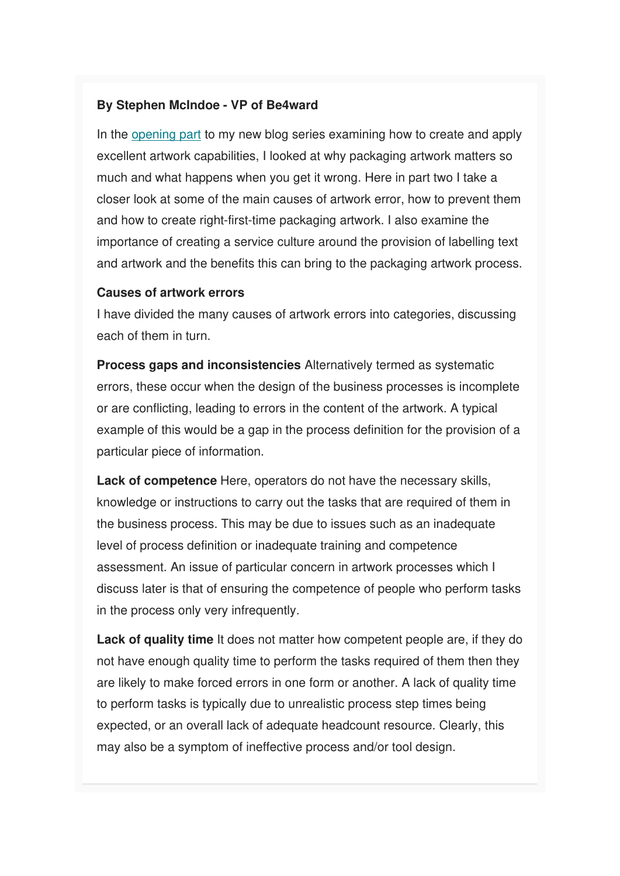#### **By Stephen McIndoe - VP of Be4ward**

In the [opening part](https://www.be4ward.com/blogstephenmcindoe/2020/01/30/excellent_packaging_artwork_1/) to my new blog series examining how to create and apply excellent artwork capabilities, I looked at why packaging artwork matters so much and what happens when you get it wrong. Here in part two I take a closer look at some of the main causes of artwork error, how to prevent them and how to create right-first-time packaging artwork. I also examine the importance of creating a service culture around the provision of labelling text and artwork and the benefits this can bring to the packaging artwork process.

#### **Causes of artwork errors**

I have divided the many causes of artwork errors into categories, discussing each of them in turn.

**Process gaps and inconsistencies** Alternatively termed as systematic errors, these occur when the design of the business processes is incomplete or are conflicting, leading to errors in the content of the artwork. A typical example of this would be a gap in the process definition for the provision of a particular piece of information.

**Lack of competence** Here, operators do not have the necessary skills, knowledge or instructions to carry out the tasks that are required of them in the business process. This may be due to issues such as an inadequate level of process definition or inadequate training and competence assessment. An issue of particular concern in artwork processes which I discuss later is that of ensuring the competence of people who perform tasks in the process only very infrequently.

**Lack of quality time** It does not matter how competent people are, if they do not have enough quality time to perform the tasks required of them then they are likely to make forced errors in one form or another. A lack of quality time to perform tasks is typically due to unrealistic process step times being expected, or an overall lack of adequate headcount resource. Clearly, this may also be a symptom of ineffective process and/or tool design.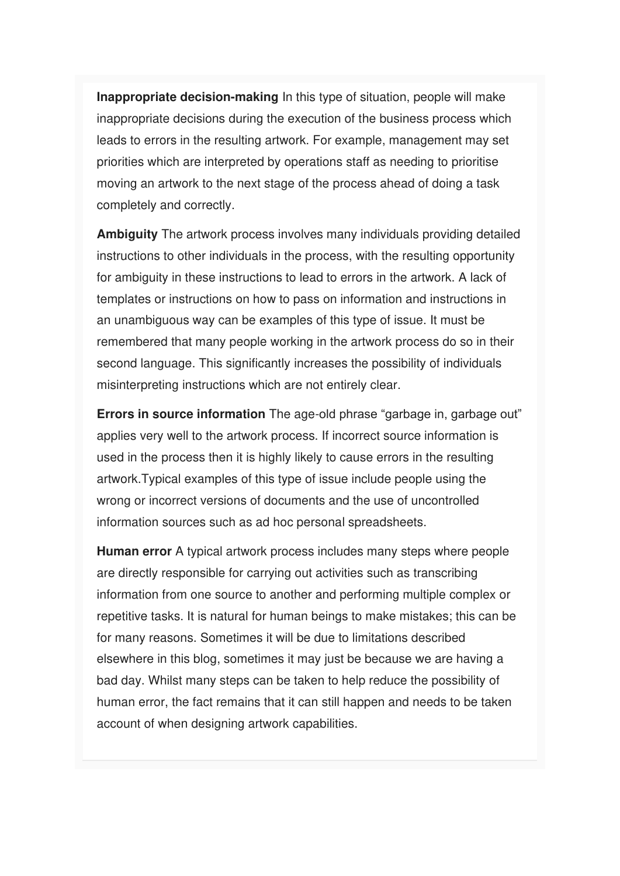**Inappropriate decision-making** In this type of situation, people will make inappropriate decisions during the execution of the business process which leads to errors in the resulting artwork. For example, management may set priorities which are interpreted by operations staff as needing to prioritise moving an artwork to the next stage of the process ahead of doing a task completely and correctly.

**Ambiguity** The artwork process involves many individuals providing detailed instructions to other individuals in the process, with the resulting opportunity for ambiguity in these instructions to lead to errors in the artwork. A lack of templates or instructions on how to pass on information and instructions in an unambiguous way can be examples of this type of issue. It must be remembered that many people working in the artwork process do so in their second language. This significantly increases the possibility of individuals misinterpreting instructions which are not entirely clear.

**Errors in source information** The age-old phrase "garbage in, garbage out" applies very well to the artwork process. If incorrect source information is used in the process then it is highly likely to cause errors in the resulting artwork.Typical examples of this type of issue include people using the wrong or incorrect versions of documents and the use of uncontrolled information sources such as ad hoc personal spreadsheets.

**Human error** A typical artwork process includes many steps where people are directly responsible for carrying out activities such as transcribing information from one source to another and performing multiple complex or repetitive tasks. It is natural for human beings to make mistakes; this can be for many reasons. Sometimes it will be due to limitations described elsewhere in this blog, sometimes it may just be because we are having a bad day. Whilst many steps can be taken to help reduce the possibility of human error, the fact remains that it can still happen and needs to be taken account of when designing artwork capabilities.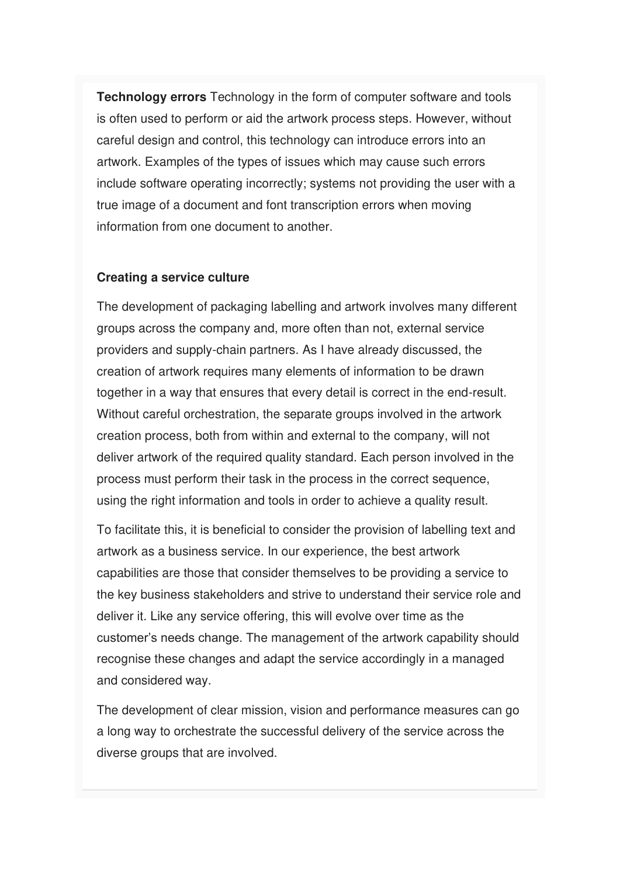**Technology errors** Technology in the form of computer software and tools is often used to perform or aid the artwork process steps. However, without careful design and control, this technology can introduce errors into an artwork. Examples of the types of issues which may cause such errors include software operating incorrectly; systems not providing the user with a true image of a document and font transcription errors when moving information from one document to another.

#### **Creating a service culture**

The development of packaging labelling and artwork involves many different groups across the company and, more often than not, external service providers and supply-chain partners. As I have already discussed, the creation of artwork requires many elements of information to be drawn together in a way that ensures that every detail is correct in the end-result. Without careful orchestration, the separate groups involved in the artwork creation process, both from within and external to the company, will not deliver artwork of the required quality standard. Each person involved in the process must perform their task in the process in the correct sequence, using the right information and tools in order to achieve a quality result.

To facilitate this, it is beneficial to consider the provision of labelling text and artwork as a business service. In our experience, the best artwork capabilities are those that consider themselves to be providing a service to the key business stakeholders and strive to understand their service role and deliver it. Like any service offering, this will evolve over time as the customer's needs change. The management of the artwork capability should recognise these changes and adapt the service accordingly in a managed and considered way.

The development of clear mission, vision and performance measures can go a long way to orchestrate the successful delivery of the service across the diverse groups that are involved.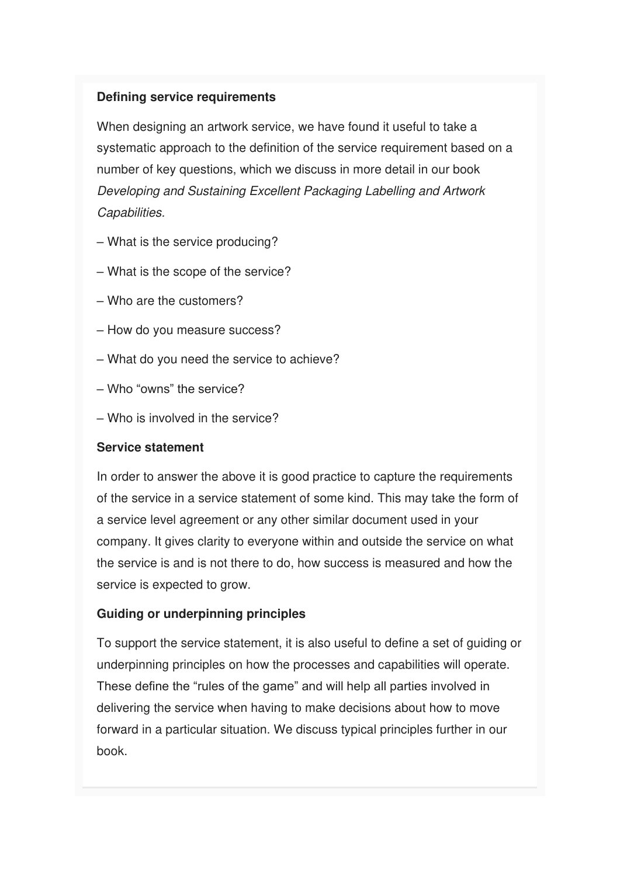#### **Defining service requirements**

When designing an artwork service, we have found it useful to take a systematic approach to the definition of the service requirement based on a number of key questions, which we discuss in more detail in our book Developing and Sustaining Excellent Packaging Labelling and Artwork Capabilities.

- What is the service producing?
- What is the scope of the service?
- Who are the customers?
- How do you measure success?
- What do you need the service to achieve?
- Who "owns" the service?
- Who is involved in the service?

#### **Service statement**

In order to answer the above it is good practice to capture the requirements of the service in a service statement of some kind. This may take the form of a service level agreement or any other similar document used in your company. It gives clarity to everyone within and outside the service on what the service is and is not there to do, how success is measured and how the service is expected to grow.

#### **Guiding or underpinning principles**

To support the service statement, it is also useful to define a set of guiding or underpinning principles on how the processes and capabilities will operate. These define the "rules of the game" and will help all parties involved in delivering the service when having to make decisions about how to move forward in a particular situation. We discuss typical principles further in our book.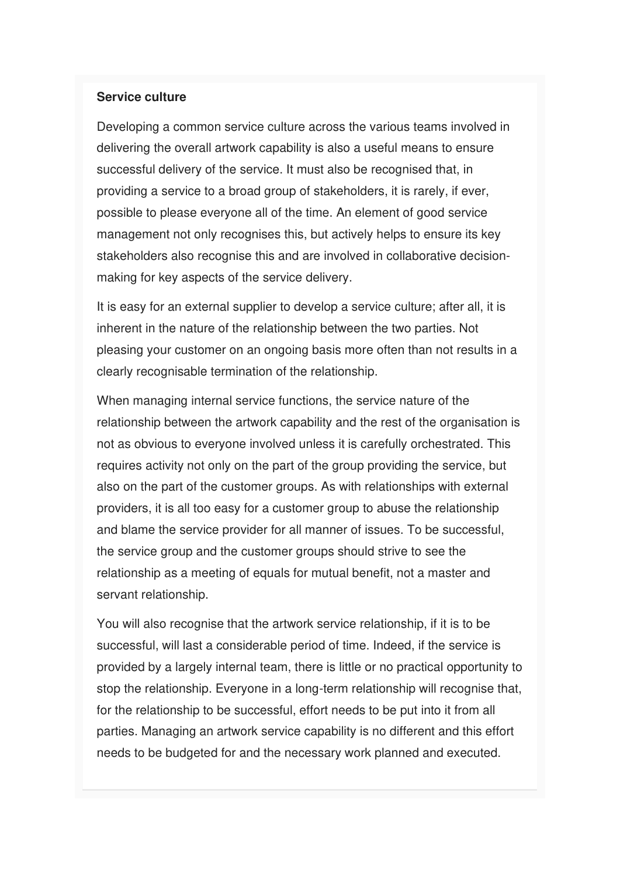#### **Service culture**

Developing a common service culture across the various teams involved in delivering the overall artwork capability is also a useful means to ensure successful delivery of the service. It must also be recognised that, in providing a service to a broad group of stakeholders, it is rarely, if ever, possible to please everyone all of the time. An element of good service management not only recognises this, but actively helps to ensure its key stakeholders also recognise this and are involved in collaborative decisionmaking for key aspects of the service delivery.

It is easy for an external supplier to develop a service culture; after all, it is inherent in the nature of the relationship between the two parties. Not pleasing your customer on an ongoing basis more often than not results in a clearly recognisable termination of the relationship.

When managing internal service functions, the service nature of the relationship between the artwork capability and the rest of the organisation is not as obvious to everyone involved unless it is carefully orchestrated. This requires activity not only on the part of the group providing the service, but also on the part of the customer groups. As with relationships with external providers, it is all too easy for a customer group to abuse the relationship and blame the service provider for all manner of issues. To be successful, the service group and the customer groups should strive to see the relationship as a meeting of equals for mutual benefit, not a master and servant relationship.

You will also recognise that the artwork service relationship, if it is to be successful, will last a considerable period of time. Indeed, if the service is provided by a largely internal team, there is little or no practical opportunity to stop the relationship. Everyone in a long-term relationship will recognise that, for the relationship to be successful, effort needs to be put into it from all parties. Managing an artwork service capability is no different and this effort needs to be budgeted for and the necessary work planned and executed.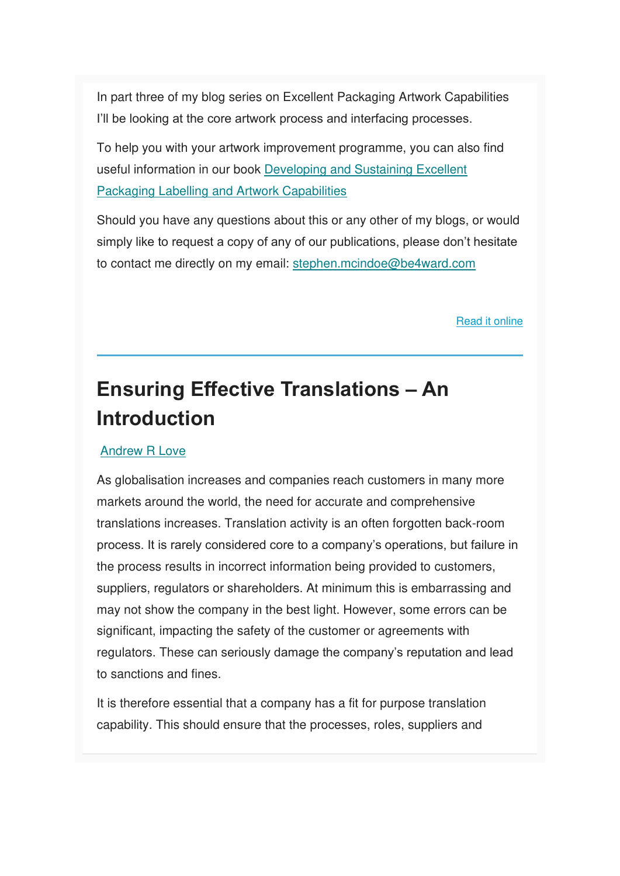In part three of my blog series on Excellent Packaging Artwork Capabilities I'll be looking at the core artwork process and interfacing processes.

To help you with your artwork improvement programme, you can also find useful information in our book [Developing and Sustaining Excellent](https://www.amazon.co.uk/Developing-Sustaining-Excellent-Packaging-Capabilities-ebook/dp/B008GUX88C)  [Packaging Labelling and Artwork Capabilities](https://www.amazon.co.uk/Developing-Sustaining-Excellent-Packaging-Capabilities-ebook/dp/B008GUX88C)

Should you have any questions about this or any other of my blogs, or would simply like to request a copy of any of our publications, please don't hesitate to contact me directly on my email: [stephen.mcindoe@be4ward.com](mailto:stephen.mcindoe@be4ward.com)

[Read it online](https://www.be4ward.com/blogstephenmcindoe/2020/02/28/excellent-packaging-artwork-capabilities-part-2-the-causes-of-artwork-error-and-the-importance-of-a-service-culture/)

## **Ensuring Effective Translations – An Introduction**

#### [Andrew R Love](https://www.be4ward.com/blogandrewrlove/author/stefan/)

As globalisation increases and companies reach customers in many more markets around the world, the need for accurate and comprehensive translations increases. Translation activity is an often forgotten back-room process. It is rarely considered core to a company's operations, but failure in the process results in incorrect information being provided to customers, suppliers, regulators or shareholders. At minimum this is embarrassing and may not show the company in the best light. However, some errors can be significant, impacting the safety of the customer or agreements with regulators. These can seriously damage the company's reputation and lead to sanctions and fines.

It is therefore essential that a company has a fit for purpose translation capability. This should ensure that the processes, roles, suppliers and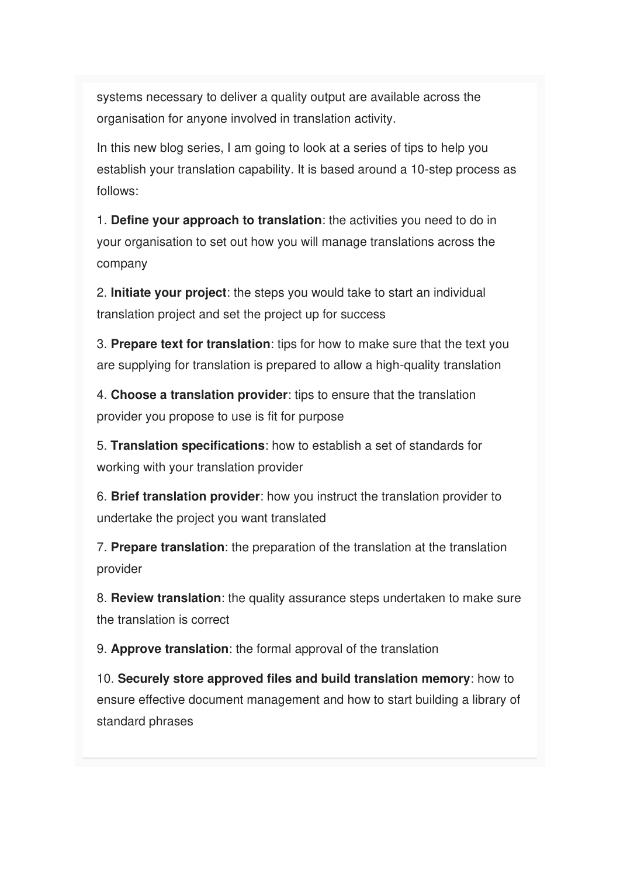systems necessary to deliver a quality output are available across the organisation for anyone involved in translation activity.

In this new blog series, I am going to look at a series of tips to help you establish your translation capability. It is based around a 10-step process as follows:

1. **Define your approach to translation**: the activities you need to do in your organisation to set out how you will manage translations across the company

2. **Initiate your project**: the steps you would take to start an individual translation project and set the project up for success

3. **Prepare text for translation**: tips for how to make sure that the text you are supplying for translation is prepared to allow a high-quality translation

4. **Choose a translation provider**: tips to ensure that the translation provider you propose to use is fit for purpose

5. **Translation specifications**: how to establish a set of standards for working with your translation provider

6. **Brief translation provider**: how you instruct the translation provider to undertake the project you want translated

7. **Prepare translation**: the preparation of the translation at the translation provider

8. **Review translation**: the quality assurance steps undertaken to make sure the translation is correct

9. **Approve translation**: the formal approval of the translation

10. **Securely store approved files and build translation memory**: how to ensure effective document management and how to start building a library of standard phrases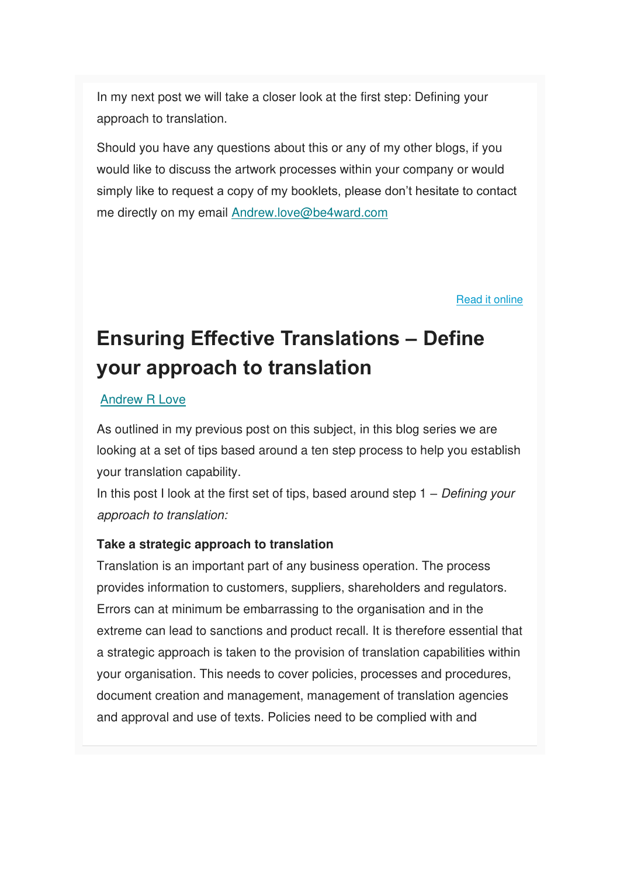In my next post we will take a closer look at the first step: Defining your approach to translation.

Should you have any questions about this or any of my other blogs, if you would like to discuss the artwork processes within your company or would simply like to request a copy of my booklets, please don't hesitate to contact me directly on my email [Andrew.love@be4ward.com](mailto:Andrew.love@be4ward.com)

[Read it online](https://www.be4ward.com/blogandrewrlove/2020/02/28/ensuring-effective-translations-an-introduction/)

## **Ensuring Effective Translations – Define your approach to translation**

#### [Andrew R Love](https://www.be4ward.com/blogandrewrlove/author/stefan/)

As outlined in my previous post on this subject, in this blog series we are looking at a set of tips based around a ten step process to help you establish your translation capability.

In this post I look at the first set of tips, based around step  $1 - Defining$  your approach to translation:

#### **Take a strategic approach to translation**

Translation is an important part of any business operation. The process provides information to customers, suppliers, shareholders and regulators. Errors can at minimum be embarrassing to the organisation and in the extreme can lead to sanctions and product recall. It is therefore essential that a strategic approach is taken to the provision of translation capabilities within your organisation. This needs to cover policies, processes and procedures, document creation and management, management of translation agencies and approval and use of texts. Policies need to be complied with and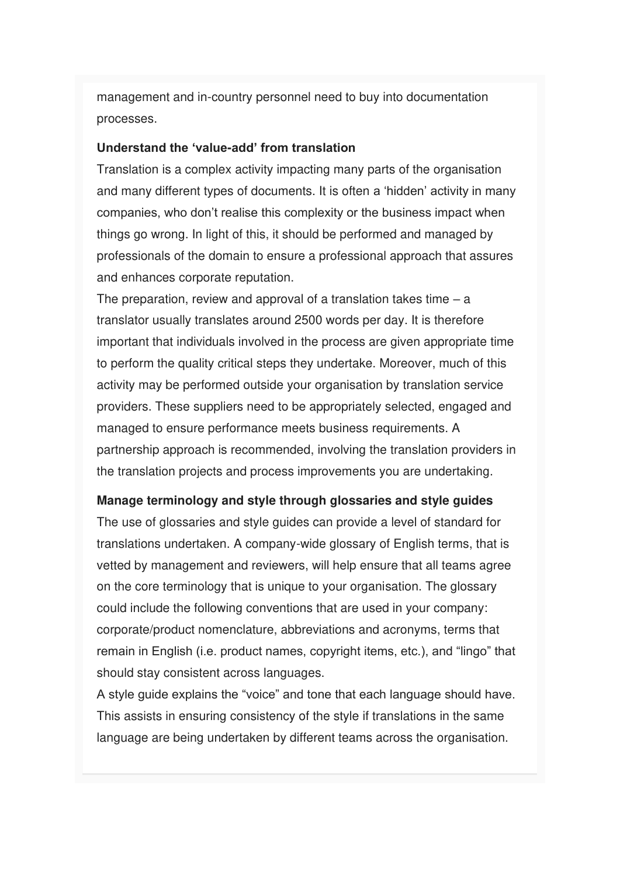management and in-country personnel need to buy into documentation processes.

#### **Understand the 'value-add' from translation**

Translation is a complex activity impacting many parts of the organisation and many different types of documents. It is often a 'hidden' activity in many companies, who don't realise this complexity or the business impact when things go wrong. In light of this, it should be performed and managed by professionals of the domain to ensure a professional approach that assures and enhances corporate reputation.

The preparation, review and approval of a translation takes time  $-$  a translator usually translates around 2500 words per day. It is therefore important that individuals involved in the process are given appropriate time to perform the quality critical steps they undertake. Moreover, much of this activity may be performed outside your organisation by translation service providers. These suppliers need to be appropriately selected, engaged and managed to ensure performance meets business requirements. A partnership approach is recommended, involving the translation providers in the translation projects and process improvements you are undertaking.

#### **Manage terminology and style through glossaries and style guides**

The use of glossaries and style guides can provide a level of standard for translations undertaken. A company-wide glossary of English terms, that is vetted by management and reviewers, will help ensure that all teams agree on the core terminology that is unique to your organisation. The glossary could include the following conventions that are used in your company: corporate/product nomenclature, abbreviations and acronyms, terms that remain in English (i.e. product names, copyright items, etc.), and "lingo" that should stay consistent across languages.

A style guide explains the "voice" and tone that each language should have. This assists in ensuring consistency of the style if translations in the same language are being undertaken by different teams across the organisation.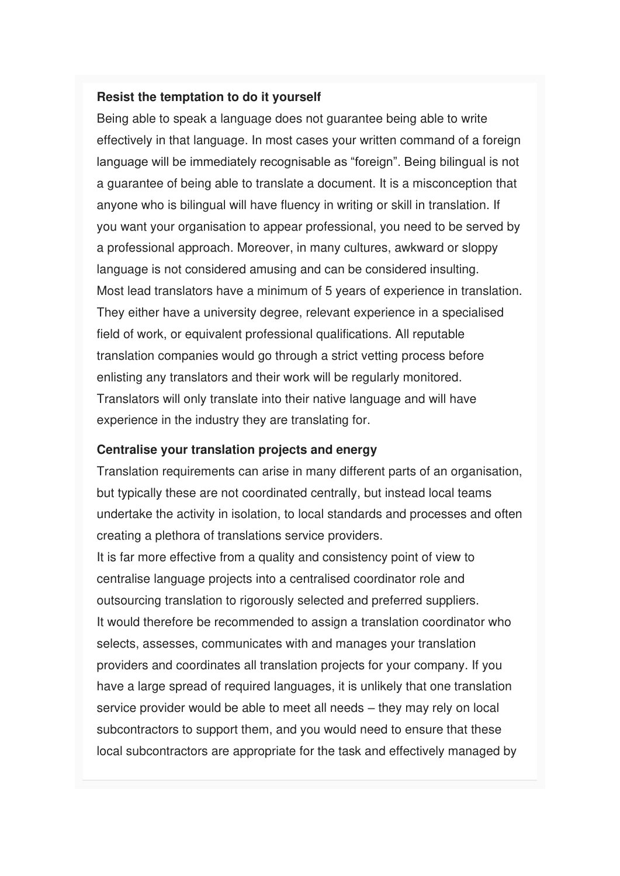#### **Resist the temptation to do it yourself**

Being able to speak a language does not guarantee being able to write effectively in that language. In most cases your written command of a foreign language will be immediately recognisable as "foreign". Being bilingual is not a guarantee of being able to translate a document. It is a misconception that anyone who is bilingual will have fluency in writing or skill in translation. If you want your organisation to appear professional, you need to be served by a professional approach. Moreover, in many cultures, awkward or sloppy language is not considered amusing and can be considered insulting. Most lead translators have a minimum of 5 years of experience in translation. They either have a university degree, relevant experience in a specialised field of work, or equivalent professional qualifications. All reputable translation companies would go through a strict vetting process before enlisting any translators and their work will be regularly monitored. Translators will only translate into their native language and will have experience in the industry they are translating for.

#### **Centralise your translation projects and energy**

Translation requirements can arise in many different parts of an organisation, but typically these are not coordinated centrally, but instead local teams undertake the activity in isolation, to local standards and processes and often creating a plethora of translations service providers.

It is far more effective from a quality and consistency point of view to centralise language projects into a centralised coordinator role and outsourcing translation to rigorously selected and preferred suppliers. It would therefore be recommended to assign a translation coordinator who selects, assesses, communicates with and manages your translation providers and coordinates all translation projects for your company. If you have a large spread of required languages, it is unlikely that one translation service provider would be able to meet all needs – they may rely on local subcontractors to support them, and you would need to ensure that these local subcontractors are appropriate for the task and effectively managed by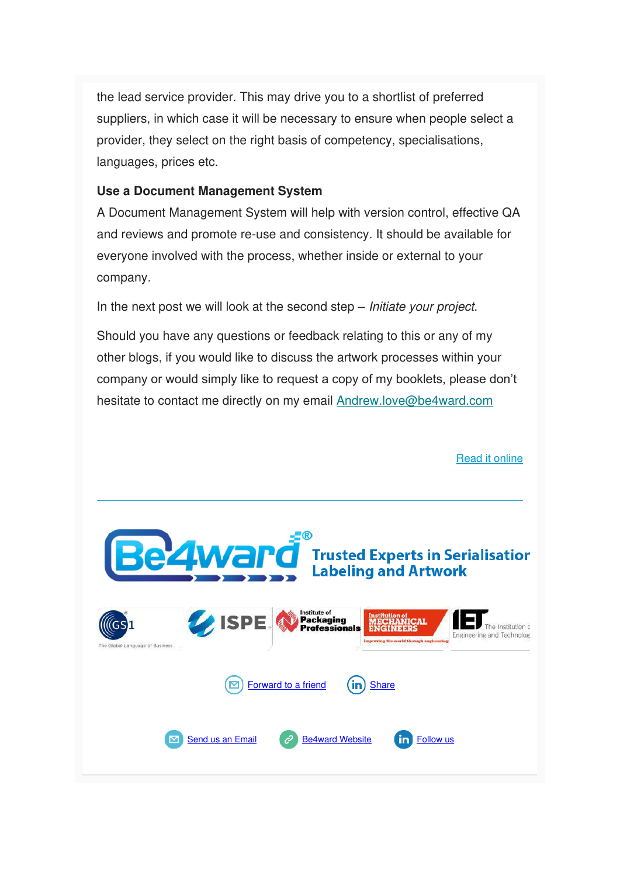the lead service provider. This may drive you to a shortlist of preferred suppliers, in which case it will be necessary to ensure when people select a provider, they select on the right basis of competency, specialisations, languages, prices etc.

#### **Use a Document Management System**

A Document Management System will help with version control, effective QA and reviews and promote re-use and consistency. It should be available for everyone involved with the process, whether inside or external to your company.

In the next post we will look at the second step – *Initiate your project*.

Should you have any questions or feedback relating to this or any of my other blogs, if you would like to discuss the artwork processes within your company or would simply like to request a copy of my booklets, please don't hesitate to contact me directly on my email [Andrew.love@be4ward.com](mailto:Andrew.love@be4ward.com)

[Read it online](https://www.be4ward.com/blogandrewrlove/2020/03/30/ensuring-effective-translations-2/)